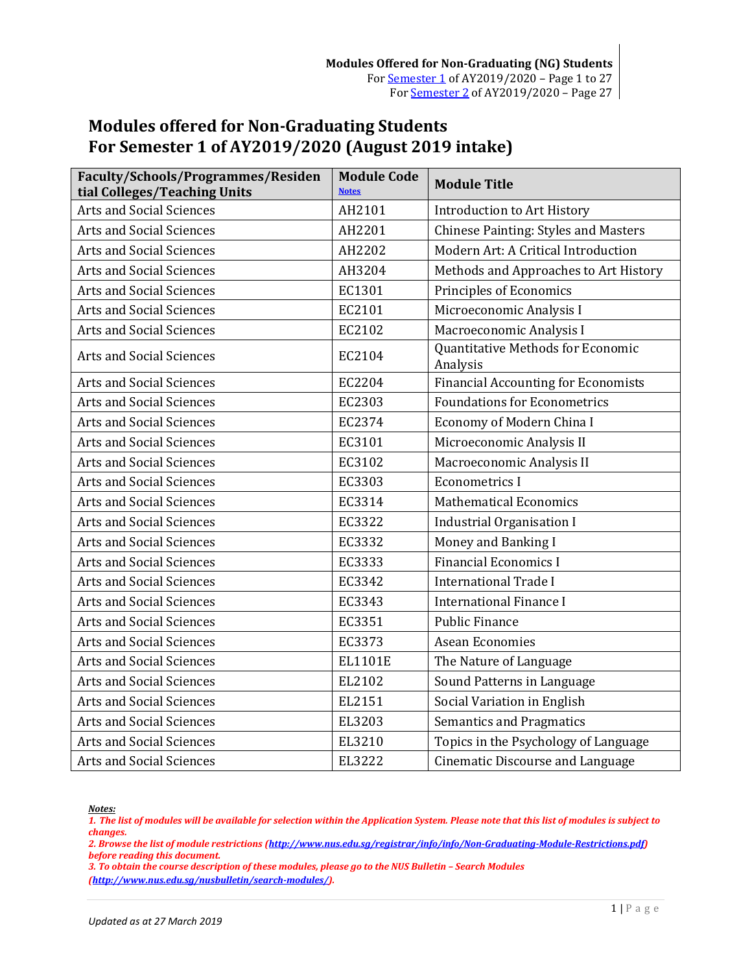# <span id="page-0-0"></span>**Modules offered for Non-Graduating Students For Semester 1 of AY2019/2020 (August 2019 intake)**

| Faculty/Schools/Programmes/Residen<br>tial Colleges/Teaching Units | <b>Module Code</b><br><b>Notes</b> | <b>Module Title</b>                           |
|--------------------------------------------------------------------|------------------------------------|-----------------------------------------------|
| <b>Arts and Social Sciences</b>                                    | AH2101                             | <b>Introduction to Art History</b>            |
| <b>Arts and Social Sciences</b>                                    | AH2201                             | <b>Chinese Painting: Styles and Masters</b>   |
| <b>Arts and Social Sciences</b>                                    | AH2202                             | Modern Art: A Critical Introduction           |
| <b>Arts and Social Sciences</b>                                    | AH3204                             | Methods and Approaches to Art History         |
| <b>Arts and Social Sciences</b>                                    | EC1301                             | Principles of Economics                       |
| <b>Arts and Social Sciences</b>                                    | EC2101                             | Microeconomic Analysis I                      |
| <b>Arts and Social Sciences</b>                                    | EC2102                             | Macroeconomic Analysis I                      |
| <b>Arts and Social Sciences</b>                                    | EC2104                             | Quantitative Methods for Economic<br>Analysis |
| Arts and Social Sciences                                           | EC2204                             | <b>Financial Accounting for Economists</b>    |
| <b>Arts and Social Sciences</b>                                    | EC2303                             | <b>Foundations for Econometrics</b>           |
| <b>Arts and Social Sciences</b>                                    | EC2374                             | Economy of Modern China I                     |
| <b>Arts and Social Sciences</b>                                    | EC3101                             | Microeconomic Analysis II                     |
| <b>Arts and Social Sciences</b>                                    | EC3102                             | Macroeconomic Analysis II                     |
| <b>Arts and Social Sciences</b>                                    | EC3303                             | <b>Econometrics I</b>                         |
| <b>Arts and Social Sciences</b>                                    | EC3314                             | <b>Mathematical Economics</b>                 |
| <b>Arts and Social Sciences</b>                                    | EC3322                             | <b>Industrial Organisation I</b>              |
| <b>Arts and Social Sciences</b>                                    | EC3332                             | Money and Banking I                           |
| Arts and Social Sciences                                           | EC3333                             | <b>Financial Economics I</b>                  |
| <b>Arts and Social Sciences</b>                                    | EC3342                             | <b>International Trade I</b>                  |
| <b>Arts and Social Sciences</b>                                    | EC3343                             | <b>International Finance I</b>                |
| <b>Arts and Social Sciences</b>                                    | EC3351                             | <b>Public Finance</b>                         |
| <b>Arts and Social Sciences</b>                                    | EC3373                             | Asean Economies                               |
| <b>Arts and Social Sciences</b>                                    | EL1101E                            | The Nature of Language                        |
| <b>Arts and Social Sciences</b>                                    | EL2102                             | Sound Patterns in Language                    |
| <b>Arts and Social Sciences</b>                                    | EL2151                             | Social Variation in English                   |
| <b>Arts and Social Sciences</b>                                    | EL3203                             | <b>Semantics and Pragmatics</b>               |
| <b>Arts and Social Sciences</b>                                    | EL3210                             | Topics in the Psychology of Language          |
| <b>Arts and Social Sciences</b>                                    | EL3222                             | Cinematic Discourse and Language              |

<span id="page-0-1"></span>*Notes:*

*1. The list of modules will be available for selection within the Application System. Please note that this list of modules is subject to changes.*

*2. Browse the list of module restrictions [\(http://www.nus.edu.sg/registrar/info/info/Non-Graduating-Module-Restrictions.pdf\)](http://www.nus.edu.sg/registrar/info/info/Non-Graduating-Module-Restrictions.pdf) before reading this document.*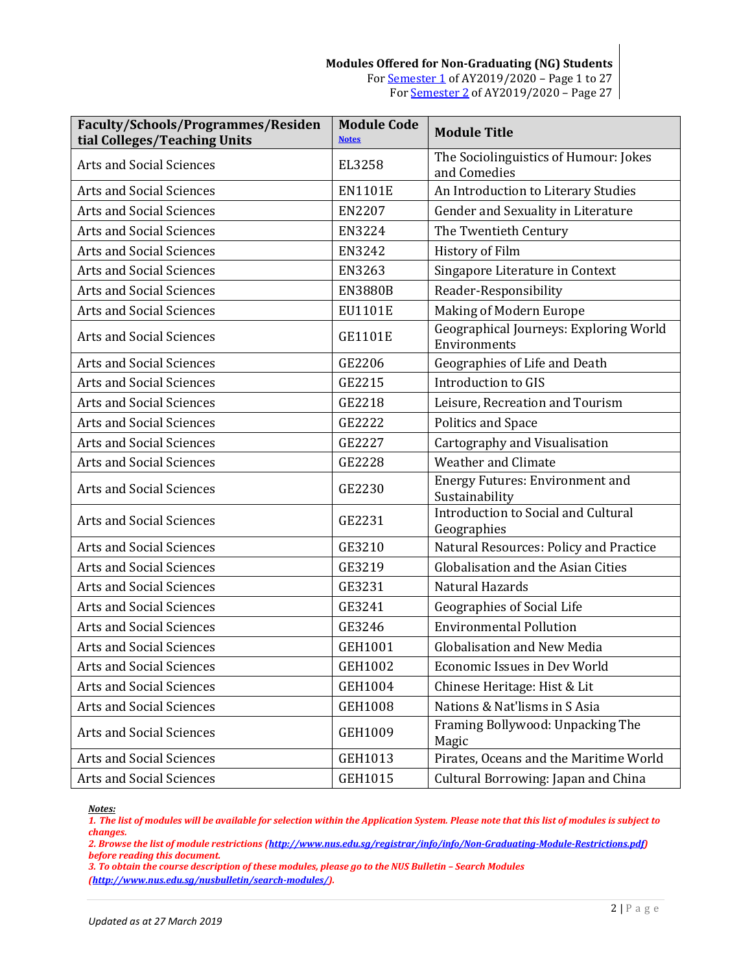| Faculty/Schools/Programmes/Residen<br>tial Colleges/Teaching Units | <b>Module Code</b><br><b>Notes</b> | <b>Module Title</b>                                      |
|--------------------------------------------------------------------|------------------------------------|----------------------------------------------------------|
| Arts and Social Sciences                                           | EL3258                             | The Sociolinguistics of Humour: Jokes<br>and Comedies    |
| <b>Arts and Social Sciences</b>                                    | <b>EN1101E</b>                     | An Introduction to Literary Studies                      |
| <b>Arts and Social Sciences</b>                                    | <b>EN2207</b>                      | Gender and Sexuality in Literature                       |
| Arts and Social Sciences                                           | EN3224                             | The Twentieth Century                                    |
| <b>Arts and Social Sciences</b>                                    | EN3242                             | History of Film                                          |
| <b>Arts and Social Sciences</b>                                    | EN3263                             | Singapore Literature in Context                          |
| Arts and Social Sciences                                           | <b>EN3880B</b>                     | Reader-Responsibility                                    |
| Arts and Social Sciences                                           | EU1101E                            | <b>Making of Modern Europe</b>                           |
| Arts and Social Sciences                                           | <b>GE1101E</b>                     | Geographical Journeys: Exploring World<br>Environments   |
| Arts and Social Sciences                                           | GE2206                             | Geographies of Life and Death                            |
| <b>Arts and Social Sciences</b>                                    | GE2215                             | Introduction to GIS                                      |
| Arts and Social Sciences                                           | GE2218                             | Leisure, Recreation and Tourism                          |
| <b>Arts and Social Sciences</b>                                    | GE2222                             | Politics and Space                                       |
| <b>Arts and Social Sciences</b>                                    | GE2227                             | Cartography and Visualisation                            |
| <b>Arts and Social Sciences</b>                                    | GE2228                             | <b>Weather and Climate</b>                               |
| Arts and Social Sciences                                           | GE2230                             | <b>Energy Futures: Environment and</b><br>Sustainability |
| <b>Arts and Social Sciences</b>                                    | GE2231                             | Introduction to Social and Cultural<br>Geographies       |
| Arts and Social Sciences                                           | GE3210                             | Natural Resources: Policy and Practice                   |
| Arts and Social Sciences                                           | GE3219                             | Globalisation and the Asian Cities                       |
| <b>Arts and Social Sciences</b>                                    | GE3231                             | Natural Hazards                                          |
| <b>Arts and Social Sciences</b>                                    | GE3241                             | Geographies of Social Life                               |
| <b>Arts and Social Sciences</b>                                    | GE3246                             | <b>Environmental Pollution</b>                           |
| <b>Arts and Social Sciences</b>                                    | GEH1001                            | <b>Globalisation and New Media</b>                       |
| Arts and Social Sciences                                           | GEH1002                            | Economic Issues in Dev World                             |
| Arts and Social Sciences                                           | GEH1004                            | Chinese Heritage: Hist & Lit                             |
| Arts and Social Sciences                                           | <b>GEH1008</b>                     | Nations & Nat'lisms in S Asia                            |
| Arts and Social Sciences                                           | GEH1009                            | Framing Bollywood: Unpacking The<br>Magic                |
| Arts and Social Sciences                                           | GEH1013                            | Pirates, Oceans and the Maritime World                   |
| Arts and Social Sciences                                           | GEH1015                            | Cultural Borrowing: Japan and China                      |

<span id="page-1-0"></span>*1. The list of modules will be available for selection within the Application System. Please note that this list of modules is subject to changes.*

*2. Browse the list of module restrictions [\(http://www.nus.edu.sg/registrar/info/info/Non-Graduating-Module-Restrictions.pdf\)](http://www.nus.edu.sg/registrar/info/info/Non-Graduating-Module-Restrictions.pdf) before reading this document.*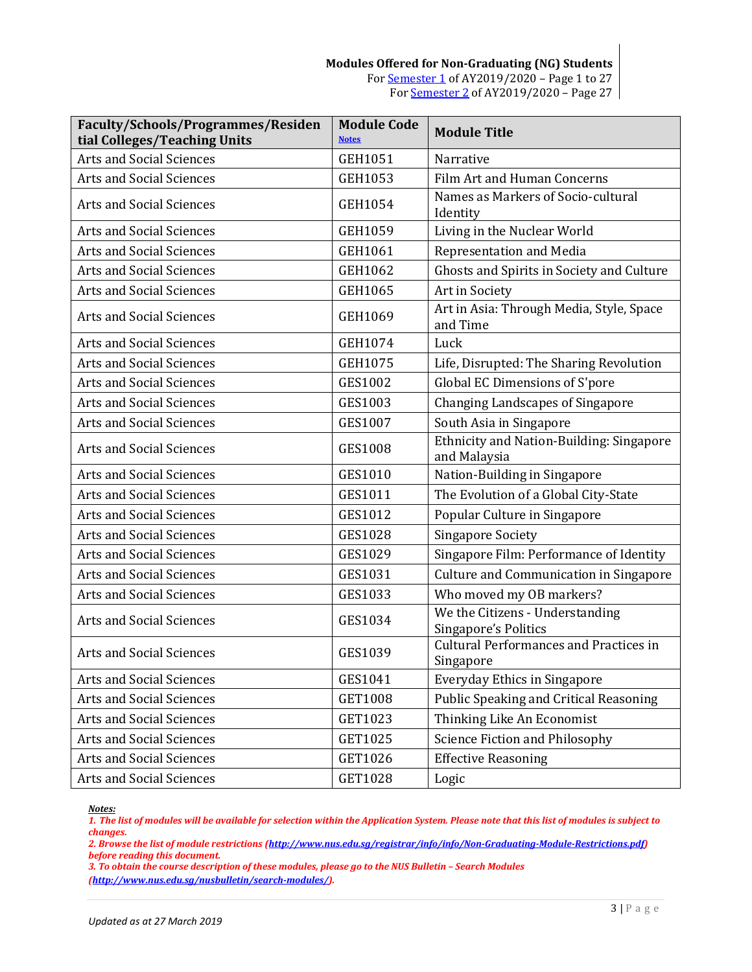| Faculty/Schools/Programmes/Residen<br>tial Colleges/Teaching Units | <b>Module Code</b><br><b>Notes</b> | <b>Module Title</b>                                        |
|--------------------------------------------------------------------|------------------------------------|------------------------------------------------------------|
| <b>Arts and Social Sciences</b>                                    | GEH1051                            | Narrative                                                  |
| <b>Arts and Social Sciences</b>                                    | GEH1053                            | Film Art and Human Concerns                                |
| <b>Arts and Social Sciences</b>                                    | GEH1054                            | Names as Markers of Socio-cultural<br>Identity             |
| <b>Arts and Social Sciences</b>                                    | GEH1059                            | Living in the Nuclear World                                |
| <b>Arts and Social Sciences</b>                                    | GEH1061                            | Representation and Media                                   |
| <b>Arts and Social Sciences</b>                                    | GEH1062                            | Ghosts and Spirits in Society and Culture                  |
| <b>Arts and Social Sciences</b>                                    | GEH1065                            | Art in Society                                             |
| <b>Arts and Social Sciences</b>                                    | GEH1069                            | Art in Asia: Through Media, Style, Space<br>and Time       |
| Arts and Social Sciences                                           | GEH1074                            | Luck                                                       |
| <b>Arts and Social Sciences</b>                                    | GEH1075                            | Life, Disrupted: The Sharing Revolution                    |
| <b>Arts and Social Sciences</b>                                    | <b>GES1002</b>                     | Global EC Dimensions of S'pore                             |
| Arts and Social Sciences                                           | GES1003                            | <b>Changing Landscapes of Singapore</b>                    |
| <b>Arts and Social Sciences</b>                                    | <b>GES1007</b>                     | South Asia in Singapore                                    |
| <b>Arts and Social Sciences</b>                                    | <b>GES1008</b>                     | Ethnicity and Nation-Building: Singapore<br>and Malaysia   |
| <b>Arts and Social Sciences</b>                                    | GES1010                            | Nation-Building in Singapore                               |
| <b>Arts and Social Sciences</b>                                    | GES1011                            | The Evolution of a Global City-State                       |
| <b>Arts and Social Sciences</b>                                    | GES1012                            | Popular Culture in Singapore                               |
| <b>Arts and Social Sciences</b>                                    | <b>GES1028</b>                     | <b>Singapore Society</b>                                   |
| <b>Arts and Social Sciences</b>                                    | GES1029                            | Singapore Film: Performance of Identity                    |
| Arts and Social Sciences                                           | GES1031                            | <b>Culture and Communication in Singapore</b>              |
| <b>Arts and Social Sciences</b>                                    | GES1033                            | Who moved my OB markers?                                   |
| Arts and Social Sciences                                           | GES1034                            | We the Citizens - Understanding<br>Singapore's Politics    |
| Arts and Social Sciences                                           | GES1039                            | <b>Cultural Performances and Practices in</b><br>Singapore |
| Arts and Social Sciences                                           | GES1041                            | <b>Everyday Ethics in Singapore</b>                        |
| Arts and Social Sciences                                           | GET1008                            | Public Speaking and Critical Reasoning                     |
| Arts and Social Sciences                                           | GET1023                            | Thinking Like An Economist                                 |
| Arts and Social Sciences                                           | GET1025                            | <b>Science Fiction and Philosophy</b>                      |
| Arts and Social Sciences                                           | GET1026                            | <b>Effective Reasoning</b>                                 |
| Arts and Social Sciences                                           | GET1028                            | Logic                                                      |

<span id="page-2-0"></span>*1. The list of modules will be available for selection within the Application System. Please note that this list of modules is subject to changes.*

*2. Browse the list of module restrictions [\(http://www.nus.edu.sg/registrar/info/info/Non-Graduating-Module-Restrictions.pdf\)](http://www.nus.edu.sg/registrar/info/info/Non-Graduating-Module-Restrictions.pdf) before reading this document.*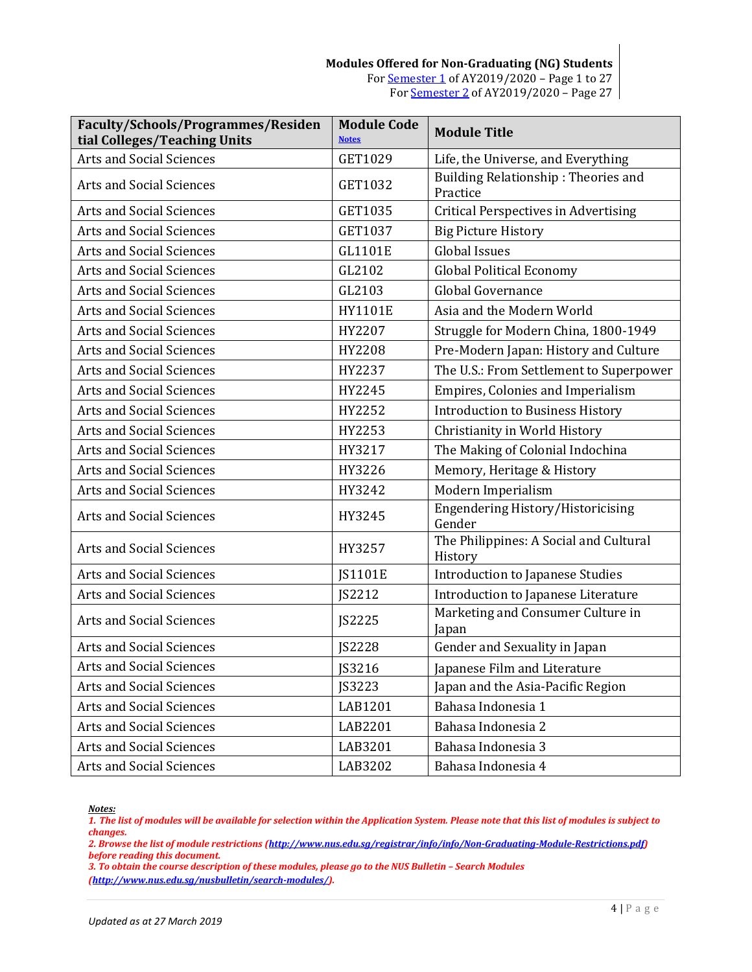| Faculty/Schools/Programmes/Residen<br>tial Colleges/Teaching Units | <b>Module Code</b><br><b>Notes</b> | <b>Module Title</b>                               |
|--------------------------------------------------------------------|------------------------------------|---------------------------------------------------|
| <b>Arts and Social Sciences</b>                                    | GET1029                            | Life, the Universe, and Everything                |
| <b>Arts and Social Sciences</b>                                    | GET1032                            | Building Relationship: Theories and<br>Practice   |
| Arts and Social Sciences                                           | GET1035                            | <b>Critical Perspectives in Advertising</b>       |
| <b>Arts and Social Sciences</b>                                    | GET1037                            | <b>Big Picture History</b>                        |
| <b>Arts and Social Sciences</b>                                    | GL1101E                            | <b>Global Issues</b>                              |
| <b>Arts and Social Sciences</b>                                    | GL2102                             | <b>Global Political Economy</b>                   |
| Arts and Social Sciences                                           | GL2103                             | Global Governance                                 |
| <b>Arts and Social Sciences</b>                                    | <b>HY1101E</b>                     | Asia and the Modern World                         |
| <b>Arts and Social Sciences</b>                                    | HY2207                             | Struggle for Modern China, 1800-1949              |
| Arts and Social Sciences                                           | HY2208                             | Pre-Modern Japan: History and Culture             |
| <b>Arts and Social Sciences</b>                                    | HY2237                             | The U.S.: From Settlement to Superpower           |
| Arts and Social Sciences                                           | HY2245                             | Empires, Colonies and Imperialism                 |
| <b>Arts and Social Sciences</b>                                    | HY2252                             | <b>Introduction to Business History</b>           |
| <b>Arts and Social Sciences</b>                                    | HY2253                             | Christianity in World History                     |
| <b>Arts and Social Sciences</b>                                    | HY3217                             | The Making of Colonial Indochina                  |
| Arts and Social Sciences                                           | HY3226                             | Memory, Heritage & History                        |
| Arts and Social Sciences                                           | HY3242                             | Modern Imperialism                                |
| Arts and Social Sciences                                           | HY3245                             | Engendering History/Historicising<br>Gender       |
| Arts and Social Sciences                                           | HY3257                             | The Philippines: A Social and Cultural<br>History |
| <b>Arts and Social Sciences</b>                                    | JS1101E                            | Introduction to Japanese Studies                  |
| <b>Arts and Social Sciences</b>                                    | JS2212                             | Introduction to Japanese Literature               |
| Arts and Social Sciences                                           | JS2225                             | Marketing and Consumer Culture in<br>Japan        |
| <b>Arts and Social Sciences</b>                                    | <b>JS2228</b>                      | Gender and Sexuality in Japan                     |
| Arts and Social Sciences                                           | JS3216                             | Japanese Film and Literature                      |
| Arts and Social Sciences                                           | JS3223                             | Japan and the Asia-Pacific Region                 |
| Arts and Social Sciences                                           | LAB1201                            | Bahasa Indonesia 1                                |
| Arts and Social Sciences                                           | LAB2201                            | Bahasa Indonesia 2                                |
| Arts and Social Sciences                                           | LAB3201                            | Bahasa Indonesia 3                                |
| Arts and Social Sciences                                           | LAB3202                            | Bahasa Indonesia 4                                |

<span id="page-3-0"></span>*1. The list of modules will be available for selection within the Application System. Please note that this list of modules is subject to changes.*

*2. Browse the list of module restrictions [\(http://www.nus.edu.sg/registrar/info/info/Non-Graduating-Module-Restrictions.pdf\)](http://www.nus.edu.sg/registrar/info/info/Non-Graduating-Module-Restrictions.pdf) before reading this document.*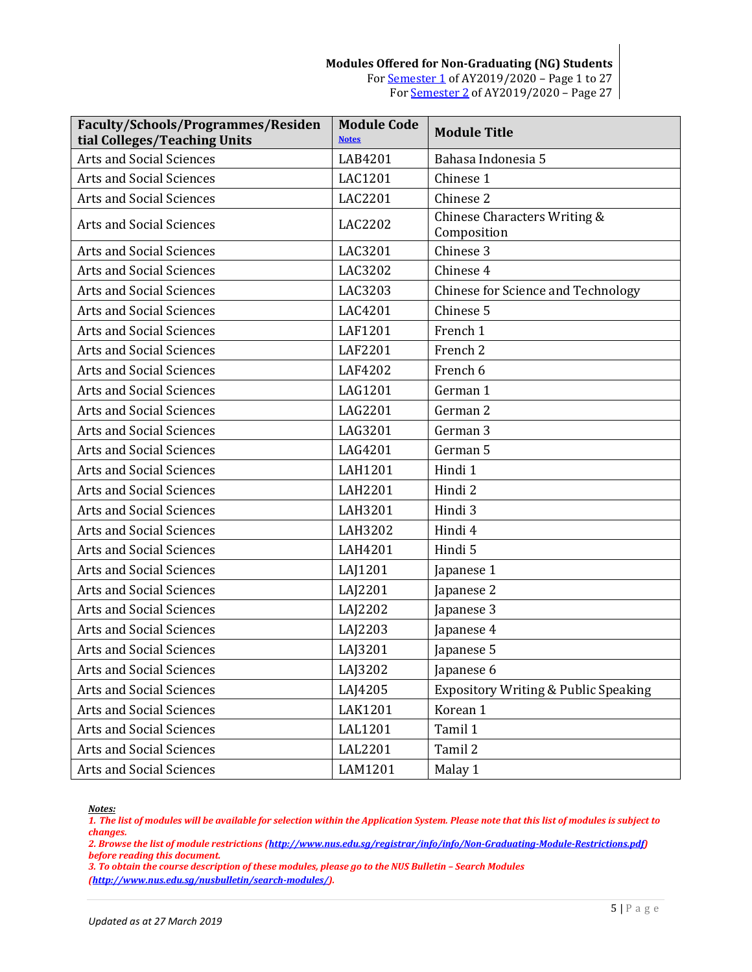| Faculty/Schools/Programmes/Residen<br>tial Colleges/Teaching Units | <b>Module Code</b><br><b>Notes</b> | <b>Module Title</b>                             |
|--------------------------------------------------------------------|------------------------------------|-------------------------------------------------|
| <b>Arts and Social Sciences</b>                                    | LAB4201                            | Bahasa Indonesia 5                              |
| <b>Arts and Social Sciences</b>                                    | LAC1201                            | Chinese 1                                       |
| <b>Arts and Social Sciences</b>                                    | LAC2201                            | Chinese 2                                       |
| Arts and Social Sciences                                           | LAC2202                            | Chinese Characters Writing &<br>Composition     |
| <b>Arts and Social Sciences</b>                                    | LAC3201                            | Chinese 3                                       |
| <b>Arts and Social Sciences</b>                                    | LAC3202                            | Chinese 4                                       |
| <b>Arts and Social Sciences</b>                                    | LAC3203                            | Chinese for Science and Technology              |
| <b>Arts and Social Sciences</b>                                    | LAC4201                            | Chinese 5                                       |
| <b>Arts and Social Sciences</b>                                    | <b>LAF1201</b>                     | French 1                                        |
| <b>Arts and Social Sciences</b>                                    | LAF2201                            | French <sub>2</sub>                             |
| <b>Arts and Social Sciences</b>                                    | LAF4202                            | French 6                                        |
| <b>Arts and Social Sciences</b>                                    | LAG1201                            | German 1                                        |
| <b>Arts and Social Sciences</b>                                    | LAG2201                            | German 2                                        |
| Arts and Social Sciences                                           | LAG3201                            | German 3                                        |
| <b>Arts and Social Sciences</b>                                    | LAG4201                            | German 5                                        |
| <b>Arts and Social Sciences</b>                                    | LAH1201                            | Hindi 1                                         |
| Arts and Social Sciences                                           | LAH2201                            | Hindi 2                                         |
| <b>Arts and Social Sciences</b>                                    | LAH3201                            | Hindi 3                                         |
| <b>Arts and Social Sciences</b>                                    | LAH3202                            | Hindi 4                                         |
| <b>Arts and Social Sciences</b>                                    | LAH4201                            | Hindi 5                                         |
| Arts and Social Sciences                                           | LAJ1201                            | Japanese 1                                      |
| <b>Arts and Social Sciences</b>                                    | LAJ2201                            | Japanese 2                                      |
| <b>Arts and Social Sciences</b>                                    | LAJ2202                            | Japanese 3                                      |
| <b>Arts and Social Sciences</b>                                    | LAJ2203                            | Japanese 4                                      |
| Arts and Social Sciences                                           | LAJ3201                            | Japanese 5                                      |
| Arts and Social Sciences                                           | LAJ3202                            | Japanese 6                                      |
| <b>Arts and Social Sciences</b>                                    | LAJ4205                            | <b>Expository Writing &amp; Public Speaking</b> |
| Arts and Social Sciences                                           | LAK1201                            | Korean 1                                        |
| Arts and Social Sciences                                           | <b>LAL1201</b>                     | Tamil 1                                         |
| <b>Arts and Social Sciences</b>                                    | LAL2201                            | Tamil 2                                         |
| Arts and Social Sciences                                           | LAM1201                            | Malay 1                                         |

<span id="page-4-0"></span>*1. The list of modules will be available for selection within the Application System. Please note that this list of modules is subject to changes.*

*2. Browse the list of module restrictions [\(http://www.nus.edu.sg/registrar/info/info/Non-Graduating-Module-Restrictions.pdf\)](http://www.nus.edu.sg/registrar/info/info/Non-Graduating-Module-Restrictions.pdf) before reading this document.*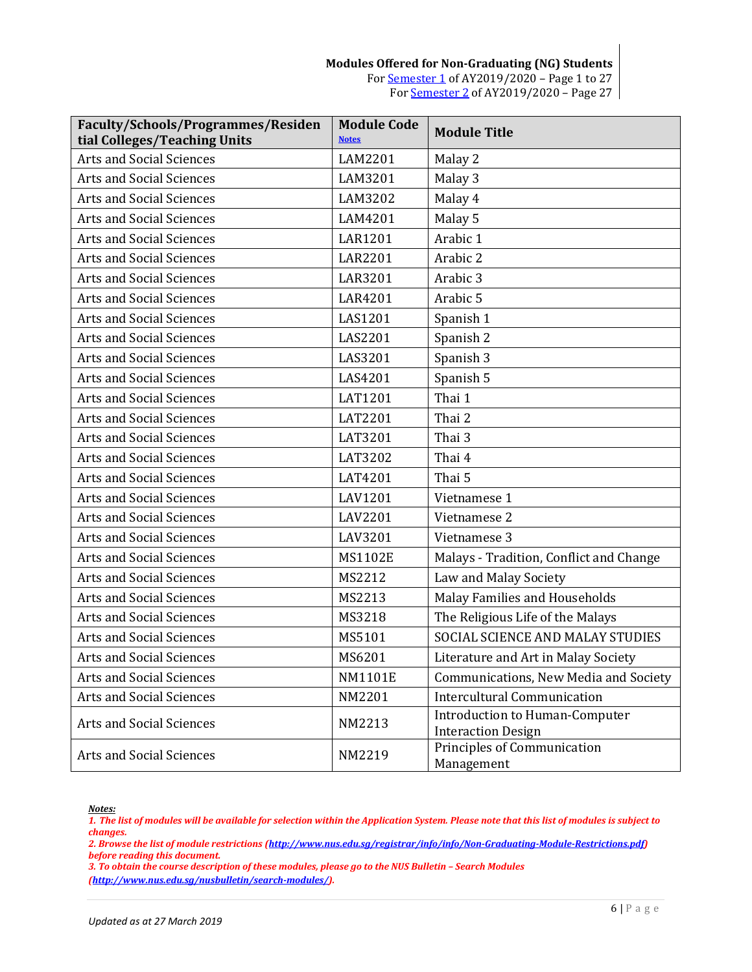**Modules Offered for Non-Graduating (NG) Students** For [Semester 1](#page-0-0) of AY2019/2020 – Page 1 to 27 Fo[r Semester 2](#page-26-0) of AY2019/2020 – Page 27

| Faculty/Schools/Programmes/Residen<br>tial Colleges/Teaching Units | <b>Module Code</b><br><b>Notes</b> | <b>Module Title</b>                                                |
|--------------------------------------------------------------------|------------------------------------|--------------------------------------------------------------------|
| <b>Arts and Social Sciences</b>                                    | LAM2201                            | Malay 2                                                            |
| <b>Arts and Social Sciences</b>                                    | LAM3201                            | Malay 3                                                            |
| <b>Arts and Social Sciences</b>                                    | LAM3202                            | Malay 4                                                            |
| <b>Arts and Social Sciences</b>                                    | LAM4201                            | Malay 5                                                            |
| <b>Arts and Social Sciences</b>                                    | <b>LAR1201</b>                     | Arabic 1                                                           |
| <b>Arts and Social Sciences</b>                                    | <b>LAR2201</b>                     | Arabic 2                                                           |
| <b>Arts and Social Sciences</b>                                    | <b>LAR3201</b>                     | Arabic 3                                                           |
| <b>Arts and Social Sciences</b>                                    | LAR4201                            | Arabic 5                                                           |
| <b>Arts and Social Sciences</b>                                    | LAS1201                            | Spanish 1                                                          |
| <b>Arts and Social Sciences</b>                                    | LAS2201                            | Spanish 2                                                          |
| <b>Arts and Social Sciences</b>                                    | LAS3201                            | Spanish 3                                                          |
| <b>Arts and Social Sciences</b>                                    | LAS4201                            | Spanish 5                                                          |
| <b>Arts and Social Sciences</b>                                    | LAT1201                            | Thai 1                                                             |
| <b>Arts and Social Sciences</b>                                    | LAT2201                            | Thai 2                                                             |
| <b>Arts and Social Sciences</b>                                    | LAT3201                            | Thai 3                                                             |
| <b>Arts and Social Sciences</b>                                    | LAT3202                            | Thai 4                                                             |
| <b>Arts and Social Sciences</b>                                    | LAT4201                            | Thai 5                                                             |
| <b>Arts and Social Sciences</b>                                    | LAV1201                            | Vietnamese 1                                                       |
| <b>Arts and Social Sciences</b>                                    | LAV2201                            | Vietnamese 2                                                       |
| <b>Arts and Social Sciences</b>                                    | LAV3201                            | Vietnamese 3                                                       |
| <b>Arts and Social Sciences</b>                                    | <b>MS1102E</b>                     | Malays - Tradition, Conflict and Change                            |
| <b>Arts and Social Sciences</b>                                    | MS2212                             | Law and Malay Society                                              |
| <b>Arts and Social Sciences</b>                                    | MS2213                             | Malay Families and Households                                      |
| <b>Arts and Social Sciences</b>                                    | MS3218                             | The Religious Life of the Malays                                   |
| <b>Arts and Social Sciences</b>                                    | MS5101                             | SOCIAL SCIENCE AND MALAY STUDIES                                   |
| <b>Arts and Social Sciences</b>                                    | MS6201                             | Literature and Art in Malay Society                                |
| <b>Arts and Social Sciences</b>                                    | <b>NM1101E</b>                     | Communications, New Media and Society                              |
| Arts and Social Sciences                                           | NM2201                             | <b>Intercultural Communication</b>                                 |
| <b>Arts and Social Sciences</b>                                    | NM2213                             | <b>Introduction to Human-Computer</b><br><b>Interaction Design</b> |
| Arts and Social Sciences                                           | NM2219                             | Principles of Communication<br>Management                          |

<span id="page-5-0"></span>*1. The list of modules will be available for selection within the Application System. Please note that this list of modules is subject to changes.*

*2. Browse the list of module restrictions [\(http://www.nus.edu.sg/registrar/info/info/Non-Graduating-Module-Restrictions.pdf\)](http://www.nus.edu.sg/registrar/info/info/Non-Graduating-Module-Restrictions.pdf) before reading this document.*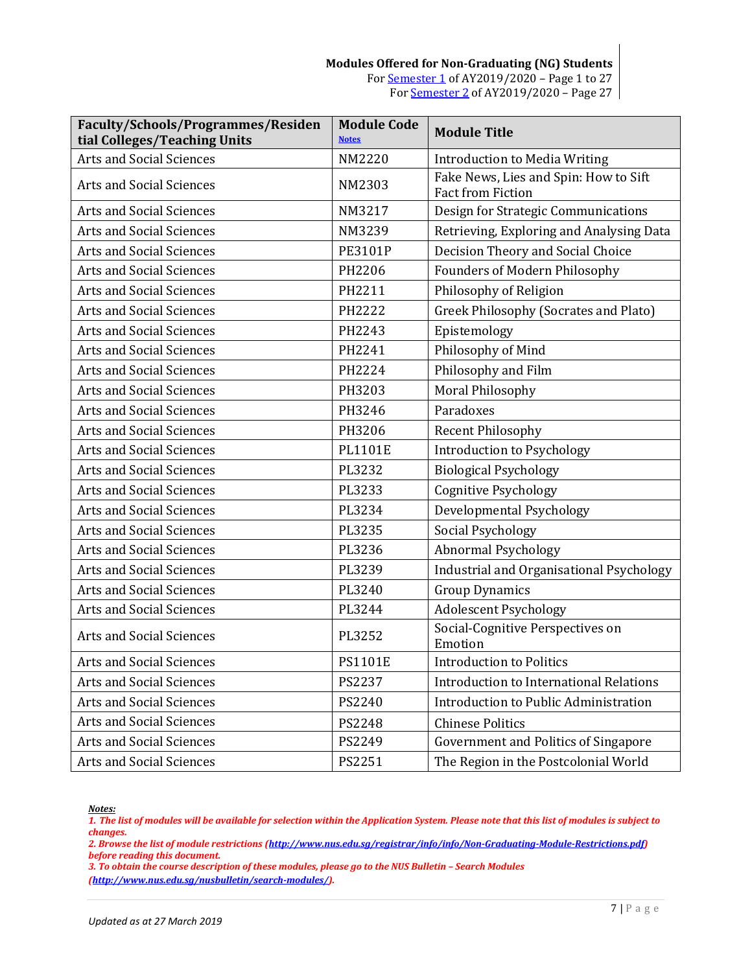#### **Modules Offered for Non-Graduating (NG) Students** For [Semester 1](#page-0-0) of AY2019/2020 – Page 1 to 27 Fo[r Semester 2](#page-26-0) of AY2019/2020 – Page 27

| Faculty/Schools/Programmes/Residen<br>tial Colleges/Teaching Units | <b>Module Code</b><br><b>Notes</b> | <b>Module Title</b>                                        |
|--------------------------------------------------------------------|------------------------------------|------------------------------------------------------------|
| <b>Arts and Social Sciences</b>                                    | NM2220                             | <b>Introduction to Media Writing</b>                       |
| <b>Arts and Social Sciences</b>                                    | NM2303                             | Fake News, Lies and Spin: How to Sift<br>Fact from Fiction |
| <b>Arts and Social Sciences</b>                                    | NM3217                             | Design for Strategic Communications                        |
| <b>Arts and Social Sciences</b>                                    | NM3239                             | Retrieving, Exploring and Analysing Data                   |
| <b>Arts and Social Sciences</b>                                    | <b>PE3101P</b>                     | Decision Theory and Social Choice                          |
| <b>Arts and Social Sciences</b>                                    | PH2206                             | <b>Founders of Modern Philosophy</b>                       |
| <b>Arts and Social Sciences</b>                                    | PH2211                             | Philosophy of Religion                                     |
| <b>Arts and Social Sciences</b>                                    | PH2222                             | Greek Philosophy (Socrates and Plato)                      |
| <b>Arts and Social Sciences</b>                                    | PH2243                             | Epistemology                                               |
| <b>Arts and Social Sciences</b>                                    | PH2241                             | Philosophy of Mind                                         |
| <b>Arts and Social Sciences</b>                                    | PH2224                             | Philosophy and Film                                        |
| <b>Arts and Social Sciences</b>                                    | PH3203                             | Moral Philosophy                                           |
| <b>Arts and Social Sciences</b>                                    | PH3246                             | Paradoxes                                                  |
| <b>Arts and Social Sciences</b>                                    | PH3206                             | <b>Recent Philosophy</b>                                   |
| <b>Arts and Social Sciences</b>                                    | <b>PL1101E</b>                     | <b>Introduction to Psychology</b>                          |
| <b>Arts and Social Sciences</b>                                    | PL3232                             | <b>Biological Psychology</b>                               |
| <b>Arts and Social Sciences</b>                                    | PL3233                             | <b>Cognitive Psychology</b>                                |
| <b>Arts and Social Sciences</b>                                    | PL3234                             | Developmental Psychology                                   |
| <b>Arts and Social Sciences</b>                                    | PL3235                             | Social Psychology                                          |
| <b>Arts and Social Sciences</b>                                    | PL3236                             | <b>Abnormal Psychology</b>                                 |
| Arts and Social Sciences                                           | PL3239                             | Industrial and Organisational Psychology                   |
| <b>Arts and Social Sciences</b>                                    | PL3240                             | <b>Group Dynamics</b>                                      |
| <b>Arts and Social Sciences</b>                                    | PL3244                             | <b>Adolescent Psychology</b>                               |
| <b>Arts and Social Sciences</b>                                    | PL3252                             | Social-Cognitive Perspectives on<br>Emotion                |
| Arts and Social Sciences                                           | <b>PS1101E</b>                     | <b>Introduction to Politics</b>                            |
| Arts and Social Sciences                                           | PS2237                             | <b>Introduction to International Relations</b>             |
| <b>Arts and Social Sciences</b>                                    | PS2240                             | Introduction to Public Administration                      |
| Arts and Social Sciences                                           | PS2248                             | <b>Chinese Politics</b>                                    |
| Arts and Social Sciences                                           | PS2249                             | Government and Politics of Singapore                       |
| Arts and Social Sciences                                           | PS2251                             | The Region in the Postcolonial World                       |

<span id="page-6-0"></span>*Notes:*

*1. The list of modules will be available for selection within the Application System. Please note that this list of modules is subject to changes.*

*2. Browse the list of module restrictions [\(http://www.nus.edu.sg/registrar/info/info/Non-Graduating-Module-Restrictions.pdf\)](http://www.nus.edu.sg/registrar/info/info/Non-Graduating-Module-Restrictions.pdf) before reading this document.*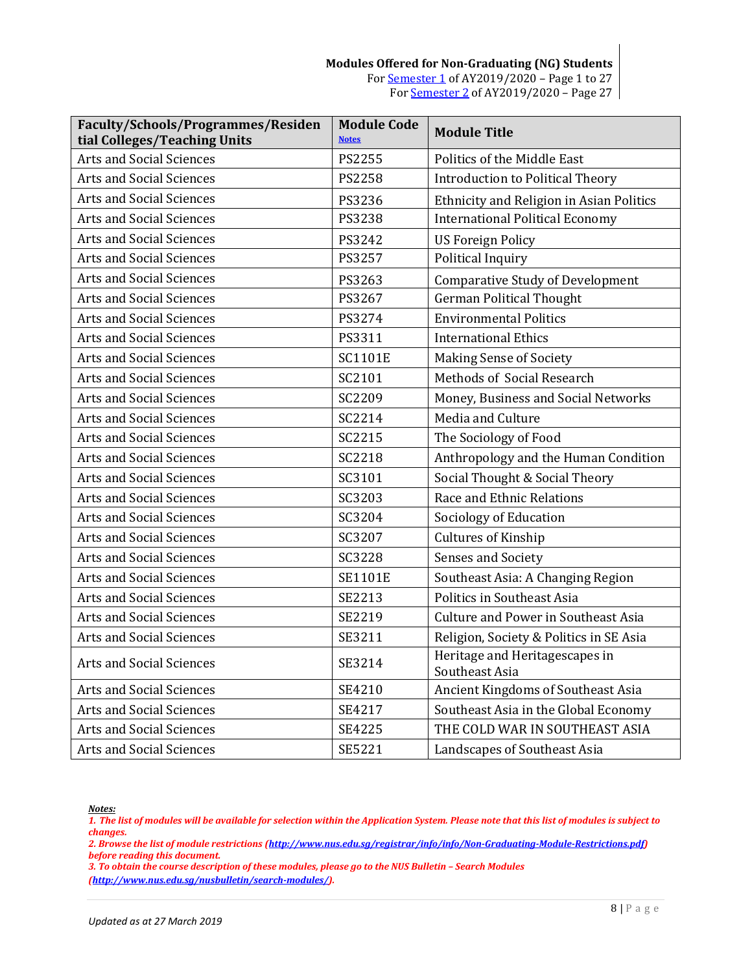| Faculty/Schools/Programmes/Residen<br>tial Colleges/Teaching Units | <b>Module Code</b><br><b>Notes</b> | <b>Module Title</b>                              |
|--------------------------------------------------------------------|------------------------------------|--------------------------------------------------|
| <b>Arts and Social Sciences</b>                                    | PS2255                             | Politics of the Middle East                      |
| <b>Arts and Social Sciences</b>                                    | PS2258                             | <b>Introduction to Political Theory</b>          |
| <b>Arts and Social Sciences</b>                                    | PS3236                             | Ethnicity and Religion in Asian Politics         |
| <b>Arts and Social Sciences</b>                                    | PS3238                             | <b>International Political Economy</b>           |
| <b>Arts and Social Sciences</b>                                    | PS3242                             | <b>US Foreign Policy</b>                         |
| <b>Arts and Social Sciences</b>                                    | PS3257                             | Political Inquiry                                |
| <b>Arts and Social Sciences</b>                                    | PS3263                             | <b>Comparative Study of Development</b>          |
| <b>Arts and Social Sciences</b>                                    | PS3267                             | <b>German Political Thought</b>                  |
| <b>Arts and Social Sciences</b>                                    | PS3274                             | <b>Environmental Politics</b>                    |
| <b>Arts and Social Sciences</b>                                    | PS3311                             | <b>International Ethics</b>                      |
| <b>Arts and Social Sciences</b>                                    | <b>SC1101E</b>                     | <b>Making Sense of Society</b>                   |
| <b>Arts and Social Sciences</b>                                    | SC2101                             | Methods of Social Research                       |
| <b>Arts and Social Sciences</b>                                    | SC2209                             | Money, Business and Social Networks              |
| <b>Arts and Social Sciences</b>                                    | SC2214                             | Media and Culture                                |
| <b>Arts and Social Sciences</b>                                    | SC2215                             | The Sociology of Food                            |
| <b>Arts and Social Sciences</b>                                    | <b>SC2218</b>                      | Anthropology and the Human Condition             |
| <b>Arts and Social Sciences</b>                                    | SC3101                             | Social Thought & Social Theory                   |
| <b>Arts and Social Sciences</b>                                    | SC3203                             | Race and Ethnic Relations                        |
| <b>Arts and Social Sciences</b>                                    | SC3204                             | Sociology of Education                           |
| <b>Arts and Social Sciences</b>                                    | SC3207                             | Cultures of Kinship                              |
| <b>Arts and Social Sciences</b>                                    | <b>SC3228</b>                      | Senses and Society                               |
| <b>Arts and Social Sciences</b>                                    | <b>SE1101E</b>                     | Southeast Asia: A Changing Region                |
| <b>Arts and Social Sciences</b>                                    | SE2213                             | Politics in Southeast Asia                       |
| <b>Arts and Social Sciences</b>                                    | SE2219                             | <b>Culture and Power in Southeast Asia</b>       |
| <b>Arts and Social Sciences</b>                                    | SE3211                             | Religion, Society & Politics in SE Asia          |
| <b>Arts and Social Sciences</b>                                    | SE3214                             | Heritage and Heritagescapes in<br>Southeast Asia |
| <b>Arts and Social Sciences</b>                                    | SE4210                             | Ancient Kingdoms of Southeast Asia               |
| <b>Arts and Social Sciences</b>                                    | SE4217                             | Southeast Asia in the Global Economy             |
| <b>Arts and Social Sciences</b>                                    | SE4225                             | THE COLD WAR IN SOUTHEAST ASIA                   |
| <b>Arts and Social Sciences</b>                                    | SE5221                             | Landscapes of Southeast Asia                     |

<span id="page-7-0"></span>*1. The list of modules will be available for selection within the Application System. Please note that this list of modules is subject to changes.*

*2. Browse the list of module restrictions [\(http://www.nus.edu.sg/registrar/info/info/Non-Graduating-Module-Restrictions.pdf\)](http://www.nus.edu.sg/registrar/info/info/Non-Graduating-Module-Restrictions.pdf) before reading this document.*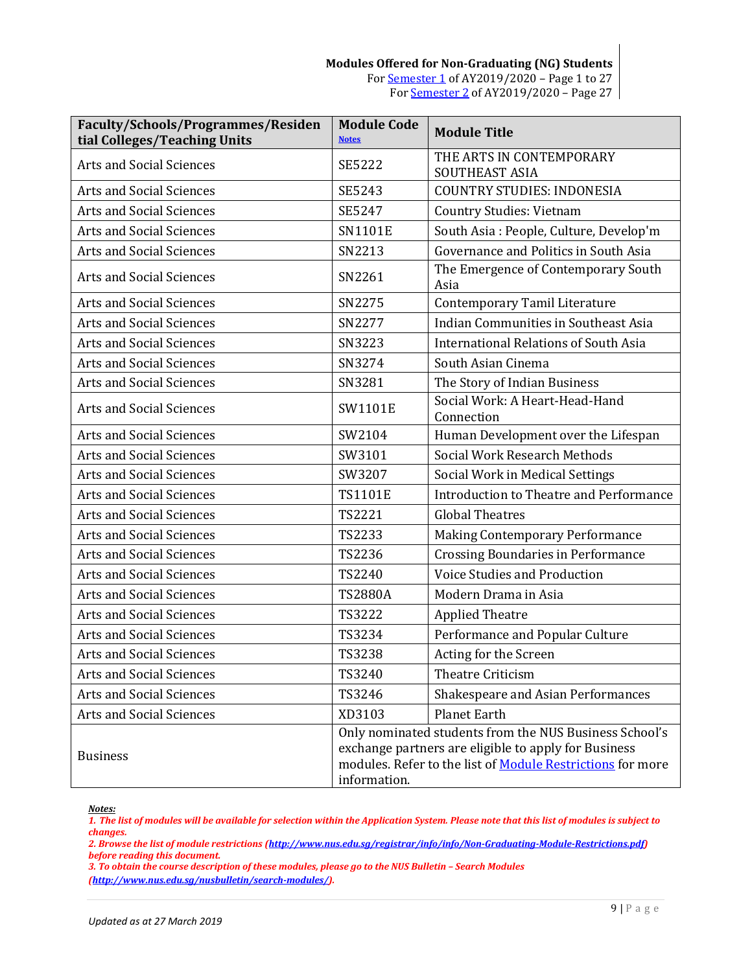#### **Modules Offered for Non-Graduating (NG) Students** For [Semester 1](#page-0-0) of AY2019/2020 – Page 1 to 27 Fo[r Semester 2](#page-26-0) of AY2019/2020 – Page 27

| Faculty/Schools/Programmes/Residen<br>tial Colleges/Teaching Units | <b>Module Code</b><br><b>Notes</b>                                                                                                                                                                  | <b>Module Title</b>                          |
|--------------------------------------------------------------------|-----------------------------------------------------------------------------------------------------------------------------------------------------------------------------------------------------|----------------------------------------------|
| <b>Arts and Social Sciences</b>                                    | <b>SE5222</b>                                                                                                                                                                                       | THE ARTS IN CONTEMPORARY<br>SOUTHEAST ASIA   |
| <b>Arts and Social Sciences</b>                                    | SE5243                                                                                                                                                                                              | <b>COUNTRY STUDIES: INDONESIA</b>            |
| <b>Arts and Social Sciences</b>                                    | SE5247                                                                                                                                                                                              | <b>Country Studies: Vietnam</b>              |
| <b>Arts and Social Sciences</b>                                    | <b>SN1101E</b>                                                                                                                                                                                      | South Asia: People, Culture, Develop'm       |
| <b>Arts and Social Sciences</b>                                    | SN2213                                                                                                                                                                                              | Governance and Politics in South Asia        |
| <b>Arts and Social Sciences</b>                                    | SN2261                                                                                                                                                                                              | The Emergence of Contemporary South<br>Asia  |
| <b>Arts and Social Sciences</b>                                    | SN2275                                                                                                                                                                                              | <b>Contemporary Tamil Literature</b>         |
| <b>Arts and Social Sciences</b>                                    | SN2277                                                                                                                                                                                              | Indian Communities in Southeast Asia         |
| <b>Arts and Social Sciences</b>                                    | SN3223                                                                                                                                                                                              | <b>International Relations of South Asia</b> |
| <b>Arts and Social Sciences</b>                                    | SN3274                                                                                                                                                                                              | South Asian Cinema                           |
| Arts and Social Sciences                                           | SN3281                                                                                                                                                                                              | The Story of Indian Business                 |
| Arts and Social Sciences                                           | SW1101E                                                                                                                                                                                             | Social Work: A Heart-Head-Hand<br>Connection |
| Arts and Social Sciences                                           | SW2104                                                                                                                                                                                              | Human Development over the Lifespan          |
| <b>Arts and Social Sciences</b>                                    | SW3101                                                                                                                                                                                              | Social Work Research Methods                 |
| <b>Arts and Social Sciences</b>                                    | SW3207                                                                                                                                                                                              | Social Work in Medical Settings              |
| Arts and Social Sciences                                           | <b>TS1101E</b>                                                                                                                                                                                      | Introduction to Theatre and Performance      |
| <b>Arts and Social Sciences</b>                                    | <b>TS2221</b>                                                                                                                                                                                       | <b>Global Theatres</b>                       |
| <b>Arts and Social Sciences</b>                                    | TS2233                                                                                                                                                                                              | <b>Making Contemporary Performance</b>       |
| Arts and Social Sciences                                           | TS2236                                                                                                                                                                                              | <b>Crossing Boundaries in Performance</b>    |
| <b>Arts and Social Sciences</b>                                    | TS2240                                                                                                                                                                                              | Voice Studies and Production                 |
| <b>Arts and Social Sciences</b>                                    | <b>TS2880A</b>                                                                                                                                                                                      | Modern Drama in Asia                         |
| <b>Arts and Social Sciences</b>                                    | TS3222                                                                                                                                                                                              | <b>Applied Theatre</b>                       |
| Arts and Social Sciences                                           | TS3234                                                                                                                                                                                              | Performance and Popular Culture              |
| Arts and Social Sciences                                           | TS3238                                                                                                                                                                                              | Acting for the Screen                        |
| <b>Arts and Social Sciences</b>                                    | TS3240                                                                                                                                                                                              | Theatre Criticism                            |
| Arts and Social Sciences                                           | TS3246                                                                                                                                                                                              | Shakespeare and Asian Performances           |
| <b>Arts and Social Sciences</b>                                    | XD3103                                                                                                                                                                                              | <b>Planet Earth</b>                          |
| <b>Business</b>                                                    | Only nominated students from the NUS Business School's<br>exchange partners are eligible to apply for Business<br>modules. Refer to the list of <b>Module Restrictions</b> for more<br>information. |                                              |

<span id="page-8-0"></span>*Notes:*

*1. The list of modules will be available for selection within the Application System. Please note that this list of modules is subject to changes.*

*2. Browse the list of module restrictions [\(http://www.nus.edu.sg/registrar/info/info/Non-Graduating-Module-Restrictions.pdf\)](http://www.nus.edu.sg/registrar/info/info/Non-Graduating-Module-Restrictions.pdf) before reading this document.*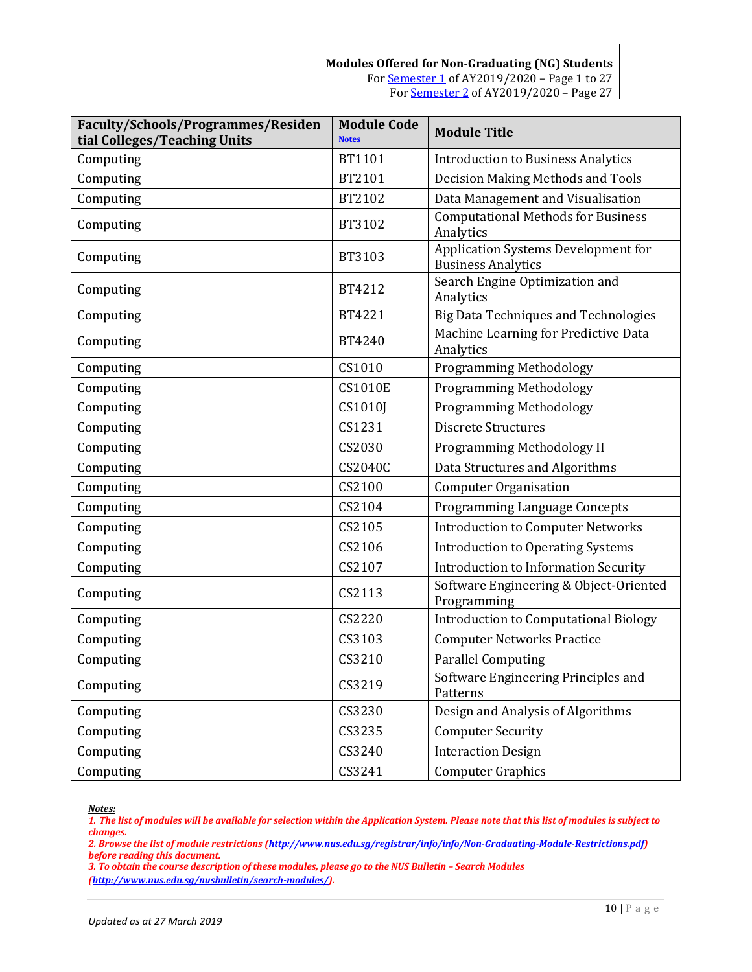| <b>Faculty/Schools/Programmes/Residen</b><br>tial Colleges/Teaching Units | <b>Module Code</b><br><b>Notes</b> | <b>Module Title</b>                                              |
|---------------------------------------------------------------------------|------------------------------------|------------------------------------------------------------------|
| Computing                                                                 | BT1101                             | <b>Introduction to Business Analytics</b>                        |
| Computing                                                                 | BT2101                             | Decision Making Methods and Tools                                |
| Computing                                                                 | BT2102                             | Data Management and Visualisation                                |
| Computing                                                                 | BT3102                             | <b>Computational Methods for Business</b><br>Analytics           |
| Computing                                                                 | BT3103                             | Application Systems Development for<br><b>Business Analytics</b> |
| Computing                                                                 | BT4212                             | Search Engine Optimization and<br>Analytics                      |
| Computing                                                                 | BT4221                             | <b>Big Data Techniques and Technologies</b>                      |
| Computing                                                                 | BT4240                             | Machine Learning for Predictive Data<br>Analytics                |
| Computing                                                                 | CS1010                             | <b>Programming Methodology</b>                                   |
| Computing                                                                 | <b>CS1010E</b>                     | <b>Programming Methodology</b>                                   |
| Computing                                                                 | CS1010I                            | <b>Programming Methodology</b>                                   |
| Computing                                                                 | CS1231                             | <b>Discrete Structures</b>                                       |
| Computing                                                                 | CS2030                             | Programming Methodology II                                       |
| Computing                                                                 | <b>CS2040C</b>                     | Data Structures and Algorithms                                   |
| Computing                                                                 | CS2100                             | <b>Computer Organisation</b>                                     |
| Computing                                                                 | CS2104                             | <b>Programming Language Concepts</b>                             |
| Computing                                                                 | CS2105                             | <b>Introduction to Computer Networks</b>                         |
| Computing                                                                 | CS2106                             | <b>Introduction to Operating Systems</b>                         |
| Computing                                                                 | CS2107                             | <b>Introduction to Information Security</b>                      |
| Computing                                                                 | CS2113                             | Software Engineering & Object-Oriented<br>Programming            |
| Computing                                                                 | CS2220                             | <b>Introduction to Computational Biology</b>                     |
| Computing                                                                 | CS3103                             | <b>Computer Networks Practice</b>                                |
| Computing                                                                 | CS3210                             | <b>Parallel Computing</b>                                        |
| Computing                                                                 | CS3219                             | Software Engineering Principles and<br>Patterns                  |
| Computing                                                                 | CS3230                             | Design and Analysis of Algorithms                                |
| Computing                                                                 | CS3235                             | <b>Computer Security</b>                                         |
| Computing                                                                 | CS3240                             | <b>Interaction Design</b>                                        |
| Computing                                                                 | CS3241                             | <b>Computer Graphics</b>                                         |

<span id="page-9-0"></span>*1. The list of modules will be available for selection within the Application System. Please note that this list of modules is subject to changes.*

*2. Browse the list of module restrictions [\(http://www.nus.edu.sg/registrar/info/info/Non-Graduating-Module-Restrictions.pdf\)](http://www.nus.edu.sg/registrar/info/info/Non-Graduating-Module-Restrictions.pdf) before reading this document.*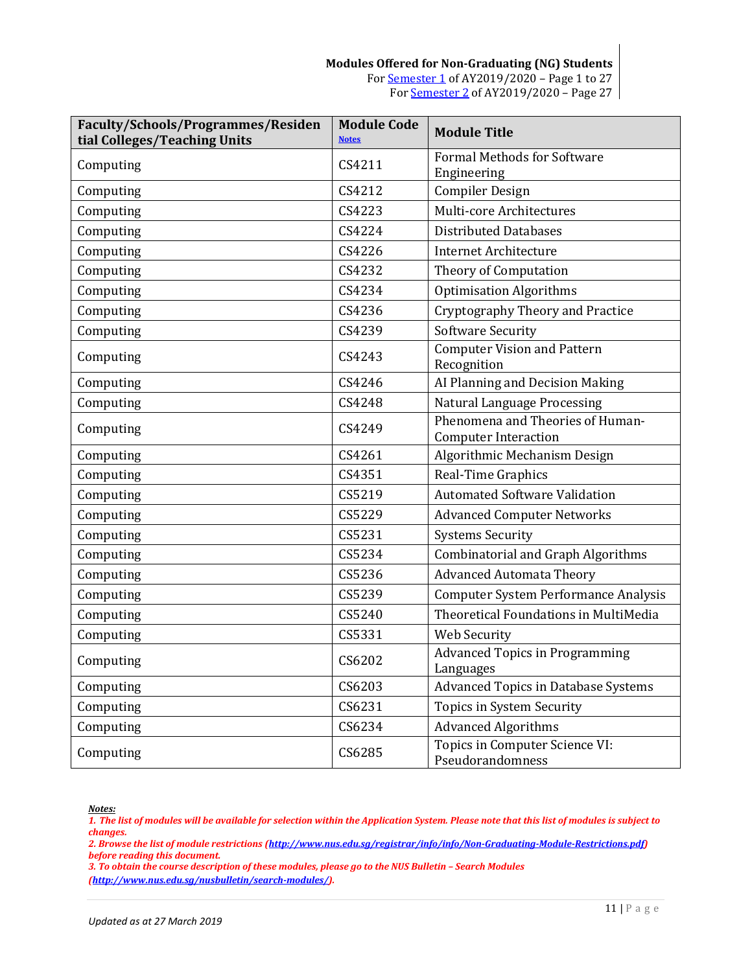| Faculty/Schools/Programmes/Residen<br>tial Colleges/Teaching Units | <b>Module Code</b><br><b>Notes</b> | <b>Module Title</b>                                             |
|--------------------------------------------------------------------|------------------------------------|-----------------------------------------------------------------|
| Computing                                                          | CS4211                             | <b>Formal Methods for Software</b><br>Engineering               |
| Computing                                                          | CS4212                             | <b>Compiler Design</b>                                          |
| Computing                                                          | CS4223                             | Multi-core Architectures                                        |
| Computing                                                          | CS4224                             | <b>Distributed Databases</b>                                    |
| Computing                                                          | CS4226                             | <b>Internet Architecture</b>                                    |
| Computing                                                          | CS4232                             | Theory of Computation                                           |
| Computing                                                          | CS4234                             | <b>Optimisation Algorithms</b>                                  |
| Computing                                                          | CS4236                             | <b>Cryptography Theory and Practice</b>                         |
| Computing                                                          | CS4239                             | <b>Software Security</b>                                        |
| Computing                                                          | CS4243                             | <b>Computer Vision and Pattern</b><br>Recognition               |
| Computing                                                          | CS4246                             | AI Planning and Decision Making                                 |
| Computing                                                          | CS4248                             | <b>Natural Language Processing</b>                              |
| Computing                                                          | CS4249                             | Phenomena and Theories of Human-<br><b>Computer Interaction</b> |
| Computing                                                          | CS4261                             | Algorithmic Mechanism Design                                    |
| Computing                                                          | CS4351                             | Real-Time Graphics                                              |
| Computing                                                          | CS5219                             | <b>Automated Software Validation</b>                            |
| Computing                                                          | CS5229                             | <b>Advanced Computer Networks</b>                               |
| Computing                                                          | CS5231                             | <b>Systems Security</b>                                         |
| Computing                                                          | CS5234                             | <b>Combinatorial and Graph Algorithms</b>                       |
| Computing                                                          | CS5236                             | <b>Advanced Automata Theory</b>                                 |
| Computing                                                          | CS5239                             | <b>Computer System Performance Analysis</b>                     |
| Computing                                                          | CS5240                             | Theoretical Foundations in MultiMedia                           |
| Computing                                                          | CS5331                             | Web Security                                                    |
| Computing                                                          | CS6202                             | <b>Advanced Topics in Programming</b><br>Languages              |
| Computing                                                          | CS6203                             | <b>Advanced Topics in Database Systems</b>                      |
| Computing                                                          | CS6231                             | <b>Topics in System Security</b>                                |
| Computing                                                          | CS6234                             | <b>Advanced Algorithms</b>                                      |
| Computing                                                          | CS6285                             | Topics in Computer Science VI:<br>Pseudorandomness              |

<span id="page-10-0"></span>*1. The list of modules will be available for selection within the Application System. Please note that this list of modules is subject to changes.*

*2. Browse the list of module restrictions [\(http://www.nus.edu.sg/registrar/info/info/Non-Graduating-Module-Restrictions.pdf\)](http://www.nus.edu.sg/registrar/info/info/Non-Graduating-Module-Restrictions.pdf) before reading this document.*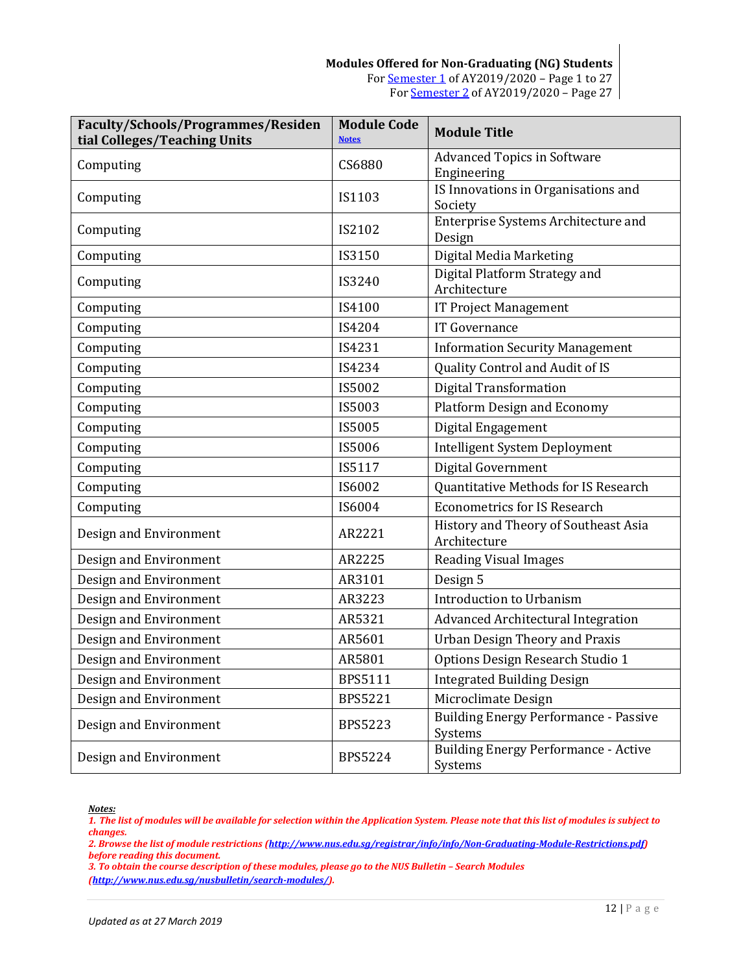| Faculty/Schools/Programmes/Residen<br>tial Colleges/Teaching Units | <b>Module Code</b><br><b>Notes</b> | <b>Module Title</b>                                     |
|--------------------------------------------------------------------|------------------------------------|---------------------------------------------------------|
| Computing                                                          | CS6880                             | <b>Advanced Topics in Software</b><br>Engineering       |
| Computing                                                          | IS1103                             | IS Innovations in Organisations and<br>Society          |
| Computing                                                          | IS2102                             | Enterprise Systems Architecture and<br>Design           |
| Computing                                                          | IS3150                             | Digital Media Marketing                                 |
| Computing                                                          | IS3240                             | Digital Platform Strategy and<br>Architecture           |
| Computing                                                          | IS4100                             | <b>IT Project Management</b>                            |
| Computing                                                          | IS4204                             | IT Governance                                           |
| Computing                                                          | IS4231                             | <b>Information Security Management</b>                  |
| Computing                                                          | IS4234                             | Quality Control and Audit of IS                         |
| Computing                                                          | IS5002                             | <b>Digital Transformation</b>                           |
| Computing                                                          | IS5003                             | <b>Platform Design and Economy</b>                      |
| Computing                                                          | IS5005                             | Digital Engagement                                      |
| Computing                                                          | IS5006                             | <b>Intelligent System Deployment</b>                    |
| Computing                                                          | IS5117                             | Digital Government                                      |
| Computing                                                          | IS6002                             | Quantitative Methods for IS Research                    |
| Computing                                                          | IS6004                             | <b>Econometrics for IS Research</b>                     |
| Design and Environment                                             | AR2221                             | History and Theory of Southeast Asia<br>Architecture    |
| Design and Environment                                             | AR2225                             | <b>Reading Visual Images</b>                            |
| Design and Environment                                             | AR3101                             | Design 5                                                |
| Design and Environment                                             | AR3223                             | Introduction to Urbanism                                |
| Design and Environment                                             | AR5321                             | <b>Advanced Architectural Integration</b>               |
| Design and Environment                                             | AR5601                             | <b>Urban Design Theory and Praxis</b>                   |
| Design and Environment                                             | AR5801                             | Options Design Research Studio 1                        |
| Design and Environment                                             | BPS5111                            | <b>Integrated Building Design</b>                       |
| Design and Environment                                             | <b>BPS5221</b>                     | Microclimate Design                                     |
| Design and Environment                                             | <b>BPS5223</b>                     | <b>Building Energy Performance - Passive</b><br>Systems |
| Design and Environment                                             | <b>BPS5224</b>                     | <b>Building Energy Performance - Active</b><br>Systems  |

<span id="page-11-0"></span>*1. The list of modules will be available for selection within the Application System. Please note that this list of modules is subject to changes.*

*2. Browse the list of module restrictions [\(http://www.nus.edu.sg/registrar/info/info/Non-Graduating-Module-Restrictions.pdf\)](http://www.nus.edu.sg/registrar/info/info/Non-Graduating-Module-Restrictions.pdf) before reading this document.*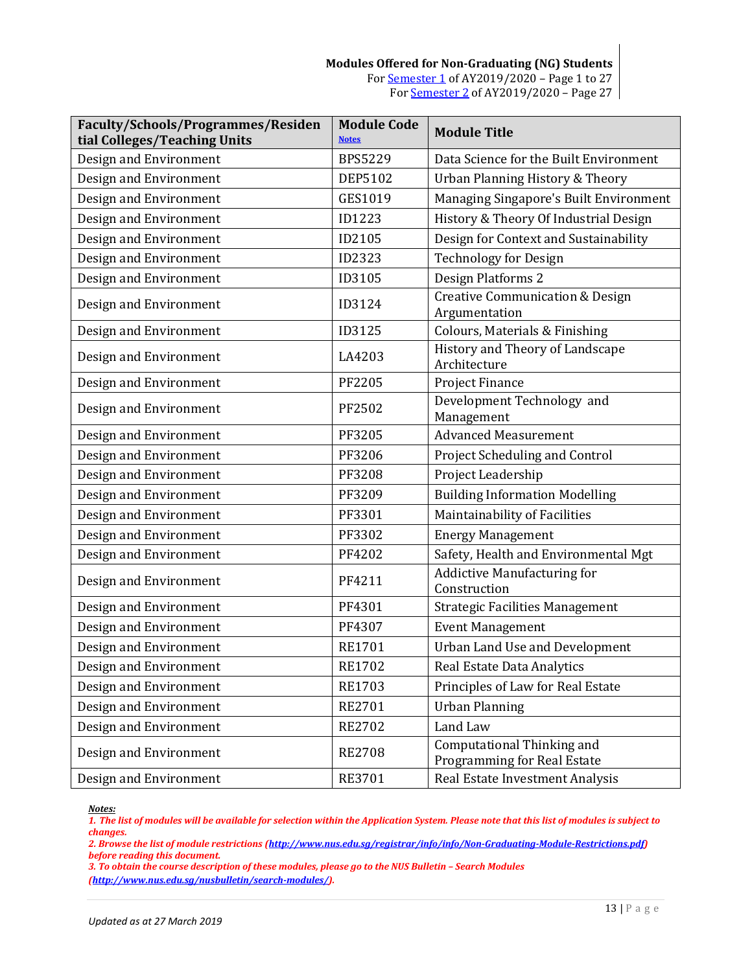#### **Modules Offered for Non-Graduating (NG) Students** For [Semester 1](#page-0-0) of AY2019/2020 – Page 1 to 27 Fo[r Semester 2](#page-26-0) of AY2019/2020 – Page 27

| Faculty/Schools/Programmes/Residen<br>tial Colleges/Teaching Units | <b>Module Code</b><br><b>Notes</b> | <b>Module Title</b>                                         |
|--------------------------------------------------------------------|------------------------------------|-------------------------------------------------------------|
| Design and Environment                                             | <b>BPS5229</b>                     | Data Science for the Built Environment                      |
| Design and Environment                                             | <b>DEP5102</b>                     | Urban Planning History & Theory                             |
| Design and Environment                                             | GES1019                            | Managing Singapore's Built Environment                      |
| Design and Environment                                             | <b>ID1223</b>                      | History & Theory Of Industrial Design                       |
| Design and Environment                                             | ID2105                             | Design for Context and Sustainability                       |
| Design and Environment                                             | ID2323                             | <b>Technology for Design</b>                                |
| Design and Environment                                             | ID3105                             | Design Platforms 2                                          |
| Design and Environment                                             | ID3124                             | <b>Creative Communication &amp; Design</b><br>Argumentation |
| Design and Environment                                             | ID3125                             | Colours, Materials & Finishing                              |
| Design and Environment                                             | LA4203                             | History and Theory of Landscape<br>Architecture             |
| Design and Environment                                             | PF2205                             | Project Finance                                             |
| Design and Environment                                             | PF2502                             | Development Technology and<br>Management                    |
| Design and Environment                                             | PF3205                             | <b>Advanced Measurement</b>                                 |
| Design and Environment                                             | PF3206                             | Project Scheduling and Control                              |
| Design and Environment                                             | PF3208                             | Project Leadership                                          |
| Design and Environment                                             | PF3209                             | <b>Building Information Modelling</b>                       |
| Design and Environment                                             | PF3301                             | Maintainability of Facilities                               |
| Design and Environment                                             | PF3302                             | <b>Energy Management</b>                                    |
| Design and Environment                                             | PF4202                             | Safety, Health and Environmental Mgt                        |
| Design and Environment                                             | PF4211                             | <b>Addictive Manufacturing for</b><br>Construction          |
| Design and Environment                                             | PF4301                             | <b>Strategic Facilities Management</b>                      |
| Design and Environment                                             | PF4307                             | <b>Event Management</b>                                     |
| Design and Environment                                             | <b>RE1701</b>                      | <b>Urban Land Use and Development</b>                       |
| Design and Environment                                             | <b>RE1702</b>                      | Real Estate Data Analytics                                  |
| Design and Environment                                             | RE1703                             | Principles of Law for Real Estate                           |
| Design and Environment                                             | RE2701                             | <b>Urban Planning</b>                                       |
| Design and Environment                                             | <b>RE2702</b>                      | Land Law                                                    |
| Design and Environment                                             | <b>RE2708</b>                      | Computational Thinking and<br>Programming for Real Estate   |
| Design and Environment                                             | RE3701                             | Real Estate Investment Analysis                             |

<span id="page-12-0"></span>*Notes:*

*1. The list of modules will be available for selection within the Application System. Please note that this list of modules is subject to changes.*

*2. Browse the list of module restrictions [\(http://www.nus.edu.sg/registrar/info/info/Non-Graduating-Module-Restrictions.pdf\)](http://www.nus.edu.sg/registrar/info/info/Non-Graduating-Module-Restrictions.pdf) before reading this document.*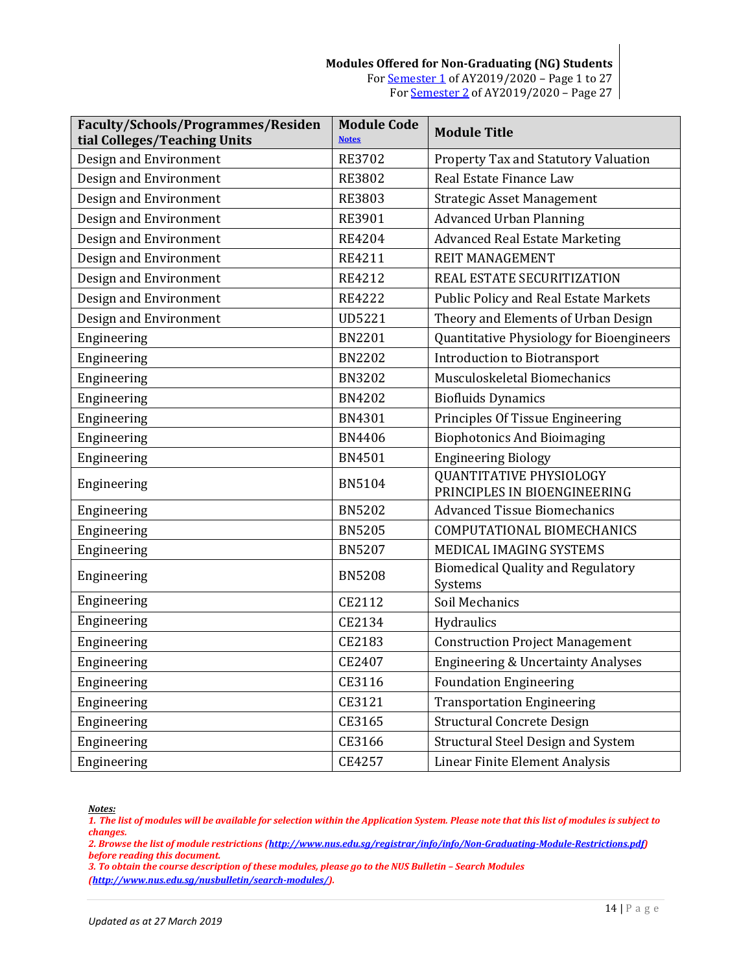| Faculty/Schools/Programmes/Residen<br>tial Colleges/Teaching Units | <b>Module Code</b><br><b>Notes</b> | <b>Module Title</b>                                            |
|--------------------------------------------------------------------|------------------------------------|----------------------------------------------------------------|
| Design and Environment                                             | <b>RE3702</b>                      | Property Tax and Statutory Valuation                           |
| Design and Environment                                             | <b>RE3802</b>                      | Real Estate Finance Law                                        |
| Design and Environment                                             | <b>RE3803</b>                      | <b>Strategic Asset Management</b>                              |
| Design and Environment                                             | RE3901                             | <b>Advanced Urban Planning</b>                                 |
| Design and Environment                                             | <b>RE4204</b>                      | <b>Advanced Real Estate Marketing</b>                          |
| Design and Environment                                             | RE4211                             | <b>REIT MANAGEMENT</b>                                         |
| Design and Environment                                             | RE4212                             | REAL ESTATE SECURITIZATION                                     |
| Design and Environment                                             | <b>RE4222</b>                      | Public Policy and Real Estate Markets                          |
| Design and Environment                                             | <b>UD5221</b>                      | Theory and Elements of Urban Design                            |
| Engineering                                                        | <b>BN2201</b>                      | Quantitative Physiology for Bioengineers                       |
| Engineering                                                        | <b>BN2202</b>                      | <b>Introduction to Biotransport</b>                            |
| Engineering                                                        | <b>BN3202</b>                      | Musculoskeletal Biomechanics                                   |
| Engineering                                                        | <b>BN4202</b>                      | <b>Biofluids Dynamics</b>                                      |
| Engineering                                                        | BN4301                             | Principles Of Tissue Engineering                               |
| Engineering                                                        | <b>BN4406</b>                      | <b>Biophotonics And Bioimaging</b>                             |
| Engineering                                                        | <b>BN4501</b>                      | <b>Engineering Biology</b>                                     |
| Engineering                                                        | <b>BN5104</b>                      | <b>QUANTITATIVE PHYSIOLOGY</b><br>PRINCIPLES IN BIOENGINEERING |
| Engineering                                                        | <b>BN5202</b>                      | <b>Advanced Tissue Biomechanics</b>                            |
| Engineering                                                        | <b>BN5205</b>                      | COMPUTATIONAL BIOMECHANICS                                     |
| Engineering                                                        | <b>BN5207</b>                      | MEDICAL IMAGING SYSTEMS                                        |
| Engineering                                                        | <b>BN5208</b>                      | <b>Biomedical Quality and Regulatory</b><br>Systems            |
| Engineering                                                        | CE2112                             | Soil Mechanics                                                 |
| Engineering                                                        | CE2134                             | Hydraulics                                                     |
| Engineering                                                        | CE2183                             | <b>Construction Project Management</b>                         |
| Engineering                                                        | CE2407                             | <b>Engineering &amp; Uncertainty Analyses</b>                  |
| Engineering                                                        | CE3116                             | <b>Foundation Engineering</b>                                  |
| Engineering                                                        | CE3121                             | <b>Transportation Engineering</b>                              |
| Engineering                                                        | CE3165                             | <b>Structural Concrete Design</b>                              |
| Engineering                                                        | CE3166                             | Structural Steel Design and System                             |
| Engineering                                                        | CE4257                             | Linear Finite Element Analysis                                 |

<span id="page-13-0"></span>*1. The list of modules will be available for selection within the Application System. Please note that this list of modules is subject to changes.*

*2. Browse the list of module restrictions [\(http://www.nus.edu.sg/registrar/info/info/Non-Graduating-Module-Restrictions.pdf\)](http://www.nus.edu.sg/registrar/info/info/Non-Graduating-Module-Restrictions.pdf) before reading this document.*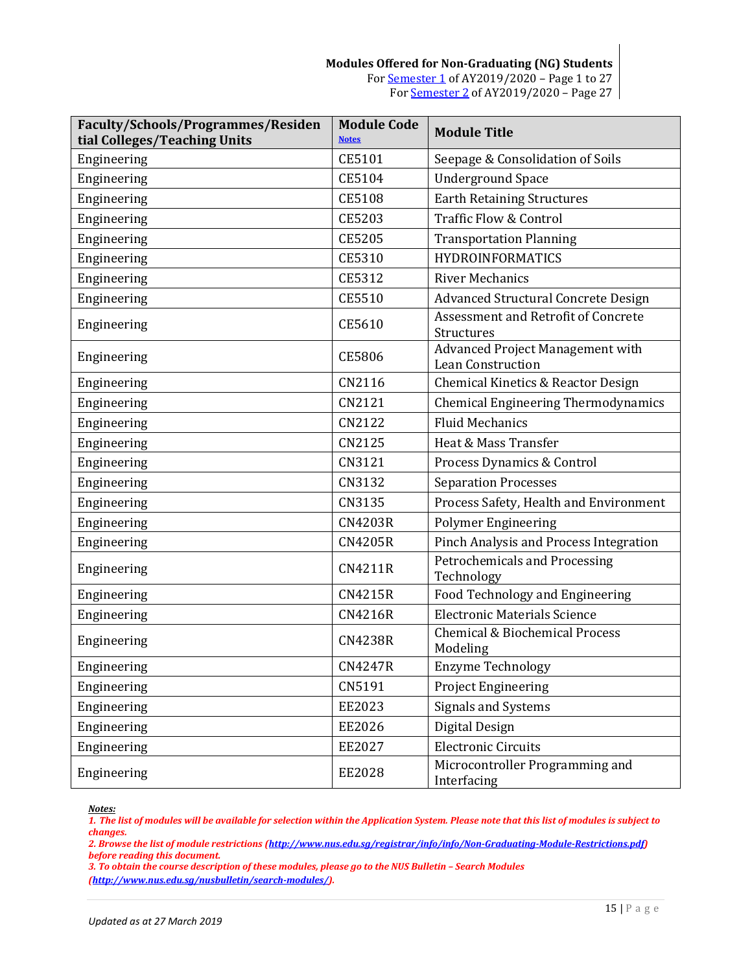| <b>Faculty/Schools/Programmes/Residen</b><br>tial Colleges/Teaching Units | <b>Module Code</b><br><b>Notes</b> | <b>Module Title</b>                                          |
|---------------------------------------------------------------------------|------------------------------------|--------------------------------------------------------------|
| Engineering                                                               | CE5101                             | Seepage & Consolidation of Soils                             |
| Engineering                                                               | CE5104                             | <b>Underground Space</b>                                     |
| Engineering                                                               | <b>CE5108</b>                      | <b>Earth Retaining Structures</b>                            |
| Engineering                                                               | CE5203                             | <b>Traffic Flow &amp; Control</b>                            |
| Engineering                                                               | <b>CE5205</b>                      | <b>Transportation Planning</b>                               |
| Engineering                                                               | CE5310                             | <b>HYDROINFORMATICS</b>                                      |
| Engineering                                                               | CE5312                             | <b>River Mechanics</b>                                       |
| Engineering                                                               | CE5510                             | <b>Advanced Structural Concrete Design</b>                   |
| Engineering                                                               | CE5610                             | Assessment and Retrofit of Concrete<br>Structures            |
| Engineering                                                               | <b>CE5806</b>                      | Advanced Project Management with<br><b>Lean Construction</b> |
| Engineering                                                               | CN2116                             | Chemical Kinetics & Reactor Design                           |
| Engineering                                                               | CN2121                             | <b>Chemical Engineering Thermodynamics</b>                   |
| Engineering                                                               | CN2122                             | <b>Fluid Mechanics</b>                                       |
| Engineering                                                               | CN2125                             | Heat & Mass Transfer                                         |
| Engineering                                                               | CN3121                             | Process Dynamics & Control                                   |
| Engineering                                                               | CN3132                             | <b>Separation Processes</b>                                  |
| Engineering                                                               | CN3135                             | Process Safety, Health and Environment                       |
| Engineering                                                               | <b>CN4203R</b>                     | <b>Polymer Engineering</b>                                   |
| Engineering                                                               | <b>CN4205R</b>                     | Pinch Analysis and Process Integration                       |
| Engineering                                                               | <b>CN4211R</b>                     | Petrochemicals and Processing<br>Technology                  |
| Engineering                                                               | <b>CN4215R</b>                     | Food Technology and Engineering                              |
| Engineering                                                               | <b>CN4216R</b>                     | <b>Electronic Materials Science</b>                          |
| Engineering                                                               | <b>CN4238R</b>                     | <b>Chemical &amp; Biochemical Process</b><br>Modeling        |
| Engineering                                                               | <b>CN4247R</b>                     | <b>Enzyme Technology</b>                                     |
| Engineering                                                               | CN5191                             | <b>Project Engineering</b>                                   |
| Engineering                                                               | EE2023                             | Signals and Systems                                          |
| Engineering                                                               | EE2026                             | Digital Design                                               |
| Engineering                                                               | EE2027                             | <b>Electronic Circuits</b>                                   |
| Engineering                                                               | EE2028                             | Microcontroller Programming and<br>Interfacing               |

<span id="page-14-0"></span>*1. The list of modules will be available for selection within the Application System. Please note that this list of modules is subject to changes.*

*2. Browse the list of module restrictions [\(http://www.nus.edu.sg/registrar/info/info/Non-Graduating-Module-Restrictions.pdf\)](http://www.nus.edu.sg/registrar/info/info/Non-Graduating-Module-Restrictions.pdf) before reading this document.*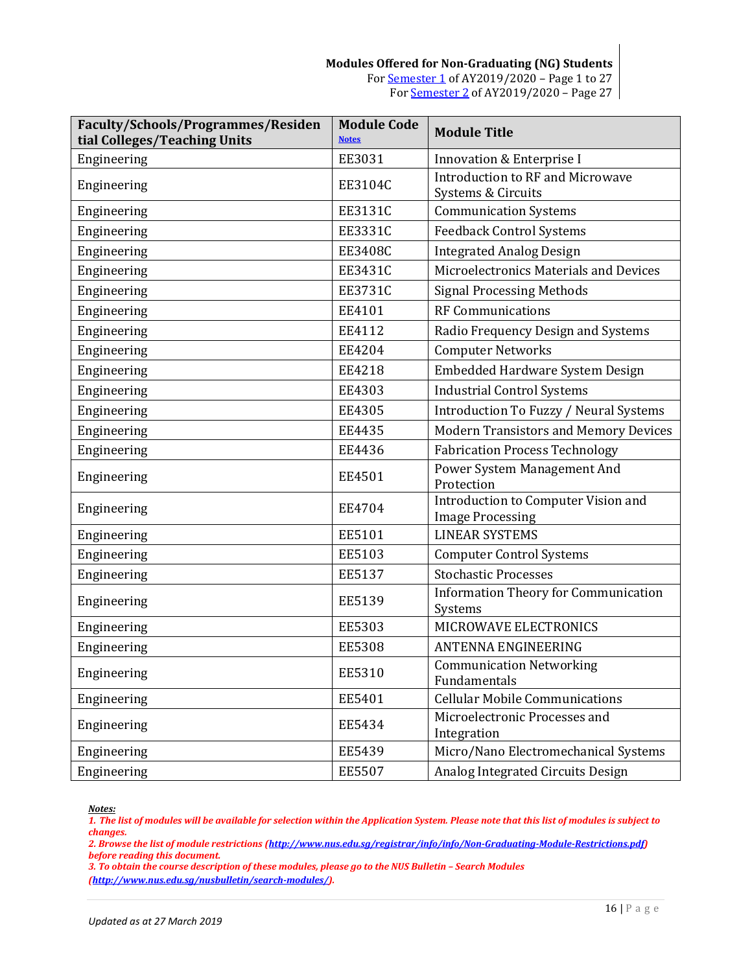| Faculty/Schools/Programmes/Residen<br>tial Colleges/Teaching Units | <b>Module Code</b><br><b>Notes</b> | <b>Module Title</b>                                            |
|--------------------------------------------------------------------|------------------------------------|----------------------------------------------------------------|
| Engineering                                                        | EE3031                             | Innovation & Enterprise I                                      |
| Engineering                                                        | EE3104C                            | Introduction to RF and Microwave<br>Systems & Circuits         |
| Engineering                                                        | EE3131C                            | <b>Communication Systems</b>                                   |
| Engineering                                                        | EE3331C                            | <b>Feedback Control Systems</b>                                |
| Engineering                                                        | <b>EE3408C</b>                     | <b>Integrated Analog Design</b>                                |
| Engineering                                                        | EE3431C                            | Microelectronics Materials and Devices                         |
| Engineering                                                        | <b>EE3731C</b>                     | <b>Signal Processing Methods</b>                               |
| Engineering                                                        | EE4101                             | <b>RF Communications</b>                                       |
| Engineering                                                        | EE4112                             | Radio Frequency Design and Systems                             |
| Engineering                                                        | EE4204                             | <b>Computer Networks</b>                                       |
| Engineering                                                        | EE4218                             | Embedded Hardware System Design                                |
| Engineering                                                        | EE4303                             | <b>Industrial Control Systems</b>                              |
| Engineering                                                        | EE4305                             | Introduction To Fuzzy / Neural Systems                         |
| Engineering                                                        | EE4435                             | <b>Modern Transistors and Memory Devices</b>                   |
| Engineering                                                        | EE4436                             | <b>Fabrication Process Technology</b>                          |
| Engineering                                                        | EE4501                             | Power System Management And<br>Protection                      |
| Engineering                                                        | EE4704                             | Introduction to Computer Vision and<br><b>Image Processing</b> |
| Engineering                                                        | EE5101                             | <b>LINEAR SYSTEMS</b>                                          |
| Engineering                                                        | EE5103                             | <b>Computer Control Systems</b>                                |
| Engineering                                                        | EE5137                             | <b>Stochastic Processes</b>                                    |
| Engineering                                                        | EE5139                             | <b>Information Theory for Communication</b><br>Systems         |
| Engineering                                                        | EE5303                             | MICROWAVE ELECTRONICS                                          |
| Engineering                                                        | <b>EE5308</b>                      | <b>ANTENNA ENGINEERING</b>                                     |
| Engineering                                                        | EE5310                             | <b>Communication Networking</b><br>Fundamentals                |
| Engineering                                                        | EE5401                             | <b>Cellular Mobile Communications</b>                          |
| Engineering                                                        | EE5434                             | Microelectronic Processes and<br>Integration                   |
| Engineering                                                        | EE5439                             | Micro/Nano Electromechanical Systems                           |
| Engineering                                                        | EE5507                             | Analog Integrated Circuits Design                              |

<span id="page-15-0"></span>*Notes:*

*1. The list of modules will be available for selection within the Application System. Please note that this list of modules is subject to changes.*

*2. Browse the list of module restrictions [\(http://www.nus.edu.sg/registrar/info/info/Non-Graduating-Module-Restrictions.pdf\)](http://www.nus.edu.sg/registrar/info/info/Non-Graduating-Module-Restrictions.pdf) before reading this document.*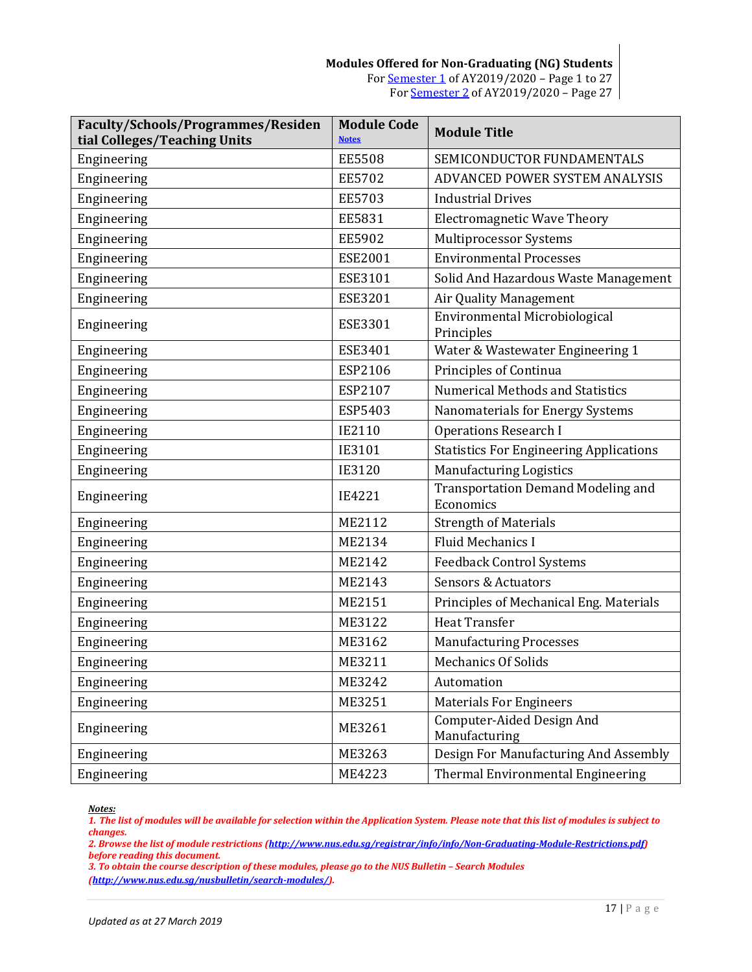| Faculty/Schools/Programmes/Residen<br>tial Colleges/Teaching Units | <b>Module Code</b><br><b>Notes</b> | <b>Module Title</b>                                    |
|--------------------------------------------------------------------|------------------------------------|--------------------------------------------------------|
| Engineering                                                        | <b>EE5508</b>                      | SEMICONDUCTOR FUNDAMENTALS                             |
| Engineering                                                        | <b>EE5702</b>                      | ADVANCED POWER SYSTEM ANALYSIS                         |
| Engineering                                                        | <b>EE5703</b>                      | <b>Industrial Drives</b>                               |
| Engineering                                                        | EE5831                             | <b>Electromagnetic Wave Theory</b>                     |
| Engineering                                                        | <b>EE5902</b>                      | Multiprocessor Systems                                 |
| Engineering                                                        | <b>ESE2001</b>                     | <b>Environmental Processes</b>                         |
| Engineering                                                        | ESE3101                            | Solid And Hazardous Waste Management                   |
| Engineering                                                        | <b>ESE3201</b>                     | Air Quality Management                                 |
| Engineering                                                        | ESE3301                            | Environmental Microbiological<br>Principles            |
| Engineering                                                        | ESE3401                            | Water & Wastewater Engineering 1                       |
| Engineering                                                        | ESP2106                            | Principles of Continua                                 |
| Engineering                                                        | ESP2107                            | <b>Numerical Methods and Statistics</b>                |
| Engineering                                                        | ESP5403                            | Nanomaterials for Energy Systems                       |
| Engineering                                                        | IE2110                             | <b>Operations Research I</b>                           |
| Engineering                                                        | IE3101                             | <b>Statistics For Engineering Applications</b>         |
| Engineering                                                        | IE3120                             | <b>Manufacturing Logistics</b>                         |
| Engineering                                                        | IE4221                             | <b>Transportation Demand Modeling and</b><br>Economics |
| Engineering                                                        | ME2112                             | <b>Strength of Materials</b>                           |
| Engineering                                                        | ME2134                             | <b>Fluid Mechanics I</b>                               |
| Engineering                                                        | ME2142                             | <b>Feedback Control Systems</b>                        |
| Engineering                                                        | ME2143                             | <b>Sensors &amp; Actuators</b>                         |
| Engineering                                                        | ME2151                             | Principles of Mechanical Eng. Materials                |
| Engineering                                                        | ME3122                             | <b>Heat Transfer</b>                                   |
| Engineering                                                        | ME3162                             | <b>Manufacturing Processes</b>                         |
| Engineering                                                        | ME3211                             | <b>Mechanics Of Solids</b>                             |
| Engineering                                                        | ME3242                             | Automation                                             |
| Engineering                                                        | ME3251                             | <b>Materials For Engineers</b>                         |
| Engineering                                                        | ME3261                             | Computer-Aided Design And<br>Manufacturing             |
| Engineering                                                        | ME3263                             | Design For Manufacturing And Assembly                  |
| Engineering                                                        | ME4223                             | Thermal Environmental Engineering                      |

<span id="page-16-0"></span>*1. The list of modules will be available for selection within the Application System. Please note that this list of modules is subject to changes.*

*2. Browse the list of module restrictions [\(http://www.nus.edu.sg/registrar/info/info/Non-Graduating-Module-Restrictions.pdf\)](http://www.nus.edu.sg/registrar/info/info/Non-Graduating-Module-Restrictions.pdf) before reading this document.*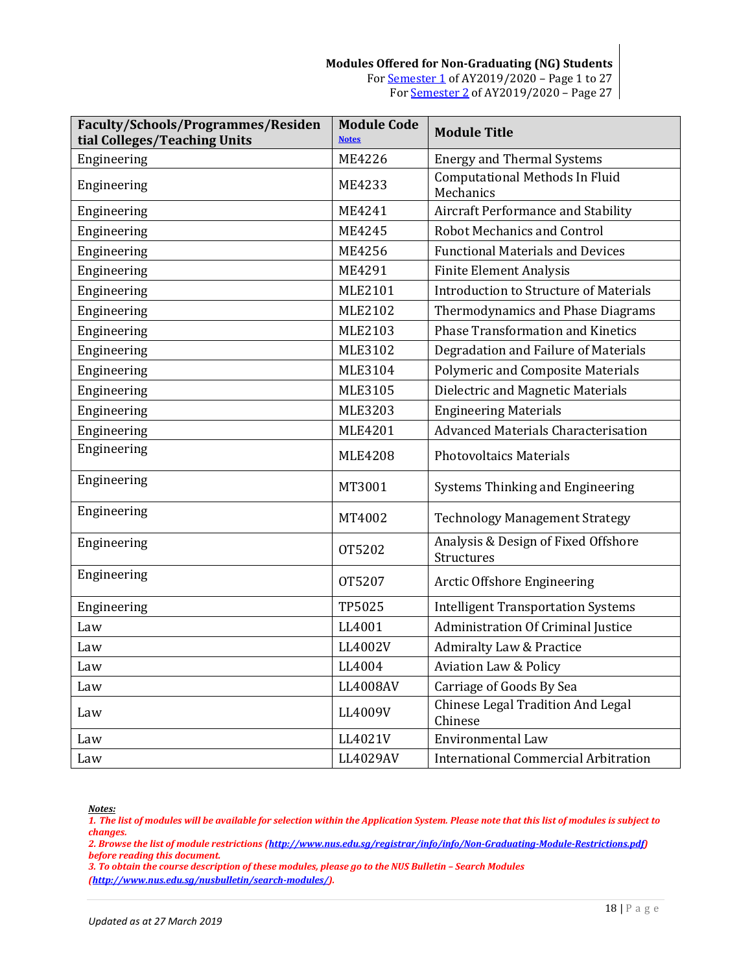| Faculty/Schools/Programmes/Residen<br>tial Colleges/Teaching Units | <b>Module Code</b><br><b>Notes</b> | <b>Module Title</b>                                |
|--------------------------------------------------------------------|------------------------------------|----------------------------------------------------|
| Engineering                                                        | ME4226                             | <b>Energy and Thermal Systems</b>                  |
| Engineering                                                        | ME4233                             | <b>Computational Methods In Fluid</b><br>Mechanics |
| Engineering                                                        | ME4241                             | Aircraft Performance and Stability                 |
| Engineering                                                        | ME4245                             | <b>Robot Mechanics and Control</b>                 |
| Engineering                                                        | ME4256                             | <b>Functional Materials and Devices</b>            |
| Engineering                                                        | ME4291                             | <b>Finite Element Analysis</b>                     |
| Engineering                                                        | MLE2101                            | <b>Introduction to Structure of Materials</b>      |
| Engineering                                                        | MLE2102                            | Thermodynamics and Phase Diagrams                  |
| Engineering                                                        | MLE2103                            | <b>Phase Transformation and Kinetics</b>           |
| Engineering                                                        | MLE3102                            | Degradation and Failure of Materials               |
| Engineering                                                        | MLE3104                            | <b>Polymeric and Composite Materials</b>           |
| Engineering                                                        | MLE3105                            | Dielectric and Magnetic Materials                  |
| Engineering                                                        | <b>MLE3203</b>                     | <b>Engineering Materials</b>                       |
| Engineering                                                        | <b>MLE4201</b>                     | <b>Advanced Materials Characterisation</b>         |
| Engineering                                                        | <b>MLE4208</b>                     | <b>Photovoltaics Materials</b>                     |
| Engineering                                                        | MT3001                             | Systems Thinking and Engineering                   |
| Engineering                                                        | MT4002                             | <b>Technology Management Strategy</b>              |
| Engineering                                                        | OT5202                             | Analysis & Design of Fixed Offshore<br>Structures  |
| Engineering                                                        | OT5207                             | Arctic Offshore Engineering                        |
| Engineering                                                        | TP5025                             | <b>Intelligent Transportation Systems</b>          |
| Law                                                                | LL4001                             | Administration Of Criminal Justice                 |
| Law                                                                | LL4002V                            | <b>Admiralty Law &amp; Practice</b>                |
| Law                                                                | LL4004                             | <b>Aviation Law &amp; Policy</b>                   |
| Law                                                                | LL4008AV                           | Carriage of Goods By Sea                           |
| Law                                                                | LL4009V                            | Chinese Legal Tradition And Legal<br>Chinese       |
| Law                                                                | LL4021V                            | Environmental Law                                  |
| Law                                                                | LL4029AV                           | <b>International Commercial Arbitration</b>        |

<span id="page-17-0"></span>*1. The list of modules will be available for selection within the Application System. Please note that this list of modules is subject to changes.*

*2. Browse the list of module restrictions [\(http://www.nus.edu.sg/registrar/info/info/Non-Graduating-Module-Restrictions.pdf\)](http://www.nus.edu.sg/registrar/info/info/Non-Graduating-Module-Restrictions.pdf) before reading this document.*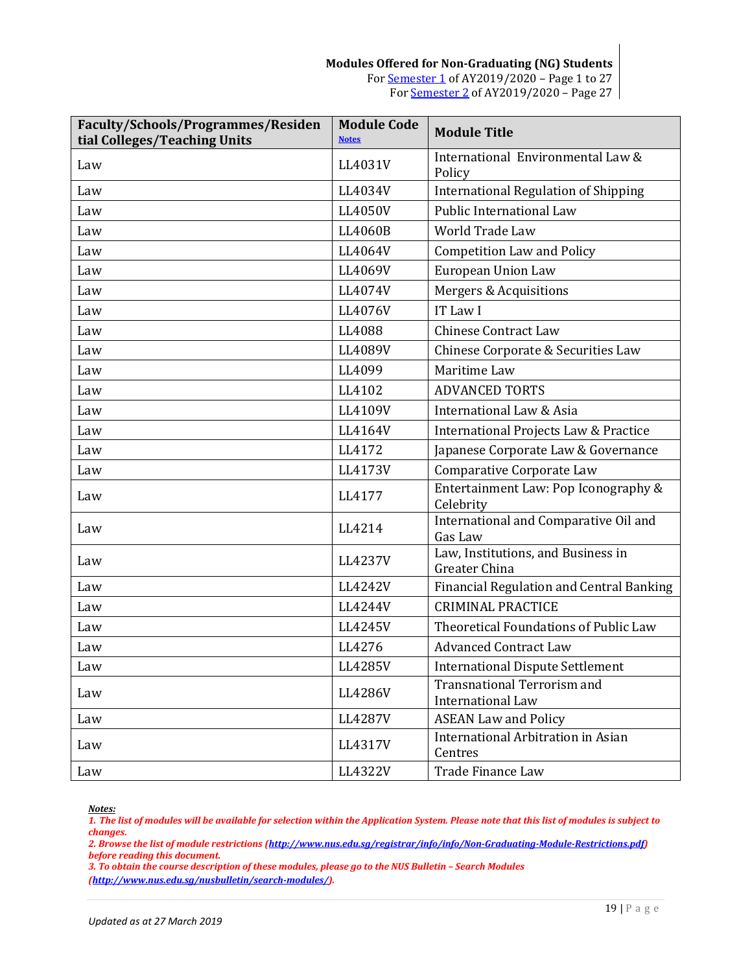| Faculty/Schools/Programmes/Residen<br>tial Colleges/Teaching Units | <b>Module Code</b><br><b>Notes</b> | <b>Module Title</b>                                            |
|--------------------------------------------------------------------|------------------------------------|----------------------------------------------------------------|
| Law                                                                | LL4031V                            | International Environmental Law &<br>Policy                    |
| Law                                                                | LL4034V                            | <b>International Regulation of Shipping</b>                    |
| Law                                                                | LL4050V                            | Public International Law                                       |
| Law                                                                | LL4060B                            | <b>World Trade Law</b>                                         |
| Law                                                                | LL4064V                            | <b>Competition Law and Policy</b>                              |
| Law                                                                | LL4069V                            | European Union Law                                             |
| Law                                                                | LL4074V                            | Mergers & Acquisitions                                         |
| Law                                                                | LL4076V                            | IT Law I                                                       |
| Law                                                                | LL4088                             | <b>Chinese Contract Law</b>                                    |
| Law                                                                | LL4089V                            | Chinese Corporate & Securities Law                             |
| Law                                                                | LL4099                             | Maritime Law                                                   |
| Law                                                                | LL4102                             | <b>ADVANCED TORTS</b>                                          |
| Law                                                                | LL4109V                            | International Law & Asia                                       |
| Law                                                                | LL4164V                            | International Projects Law & Practice                          |
| Law                                                                | LL4172                             | Japanese Corporate Law & Governance                            |
| Law                                                                | LL4173V                            | Comparative Corporate Law                                      |
| Law                                                                | LL4177                             | Entertainment Law: Pop Iconography &<br>Celebrity              |
| Law                                                                | LL4214                             | International and Comparative Oil and<br>Gas Law               |
| Law                                                                | LL4237V                            | Law, Institutions, and Business in<br>Greater China            |
| Law                                                                | LL4242V                            | <b>Financial Regulation and Central Banking</b>                |
| Law                                                                | LL4244V                            | <b>CRIMINAL PRACTICE</b>                                       |
| Law                                                                | LL4245V                            | Theoretical Foundations of Public Law                          |
| Law                                                                | LL4276                             | <b>Advanced Contract Law</b>                                   |
| Law                                                                | LL4285V                            | <b>International Dispute Settlement</b>                        |
| Law                                                                | LL4286V                            | <b>Transnational Terrorism and</b><br><b>International Law</b> |
| Law                                                                | LL4287V                            | <b>ASEAN Law and Policy</b>                                    |
| Law                                                                | LL4317V                            | <b>International Arbitration in Asian</b><br>Centres           |
| Law                                                                | LL4322V                            | Trade Finance Law                                              |

<span id="page-18-0"></span>*1. The list of modules will be available for selection within the Application System. Please note that this list of modules is subject to changes.*

*2. Browse the list of module restrictions [\(http://www.nus.edu.sg/registrar/info/info/Non-Graduating-Module-Restrictions.pdf\)](http://www.nus.edu.sg/registrar/info/info/Non-Graduating-Module-Restrictions.pdf) before reading this document.*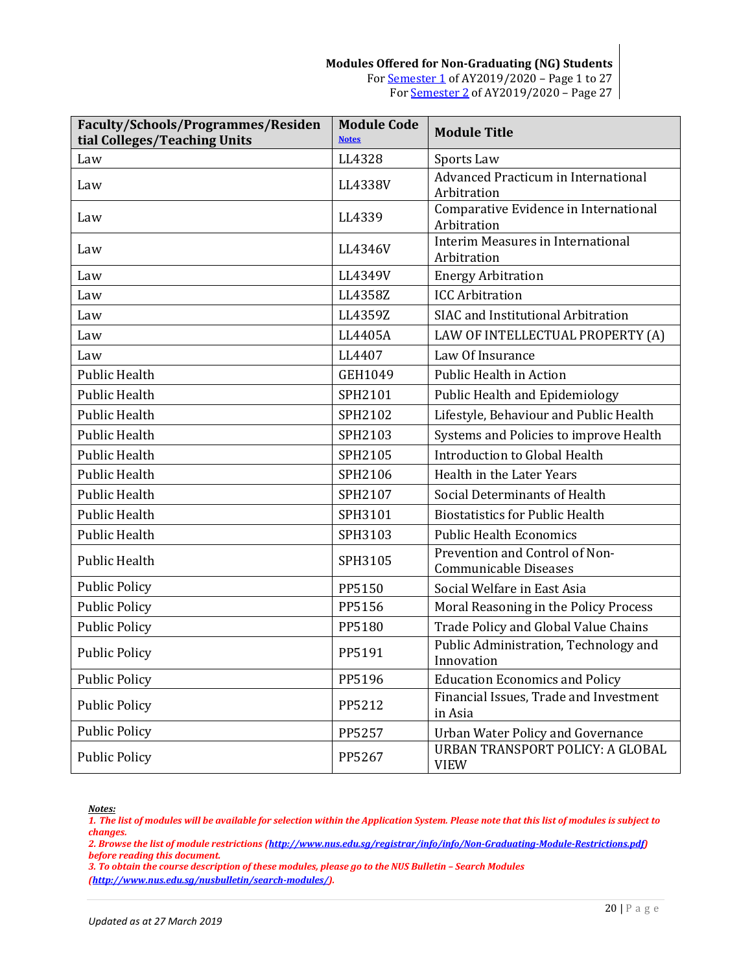| Faculty/Schools/Programmes/Residen<br>tial Colleges/Teaching Units | <b>Module Code</b><br><b>Notes</b> | <b>Module Title</b>                                     |
|--------------------------------------------------------------------|------------------------------------|---------------------------------------------------------|
| Law                                                                | LL4328                             | Sports Law                                              |
| Law                                                                | LL4338V                            | Advanced Practicum in International<br>Arbitration      |
| Law                                                                | LL4339                             | Comparative Evidence in International<br>Arbitration    |
| Law                                                                | LL4346V                            | Interim Measures in International<br>Arbitration        |
| Law                                                                | LL4349V                            | <b>Energy Arbitration</b>                               |
| Law                                                                | LL4358Z                            | <b>ICC Arbitration</b>                                  |
| Law                                                                | LL4359Z                            | SIAC and Institutional Arbitration                      |
| Law                                                                | LL4405A                            | LAW OF INTELLECTUAL PROPERTY (A)                        |
| Law                                                                | LL4407                             | Law Of Insurance                                        |
| <b>Public Health</b>                                               | GEH1049                            | <b>Public Health in Action</b>                          |
| <b>Public Health</b>                                               | SPH2101                            | Public Health and Epidemiology                          |
| <b>Public Health</b>                                               | SPH2102                            | Lifestyle, Behaviour and Public Health                  |
| <b>Public Health</b>                                               | SPH2103                            | Systems and Policies to improve Health                  |
| <b>Public Health</b>                                               | SPH2105                            | Introduction to Global Health                           |
| <b>Public Health</b>                                               | SPH2106                            | Health in the Later Years                               |
| <b>Public Health</b>                                               | SPH2107                            | Social Determinants of Health                           |
| <b>Public Health</b>                                               | SPH3101                            | <b>Biostatistics for Public Health</b>                  |
| <b>Public Health</b>                                               | SPH3103                            | <b>Public Health Economics</b>                          |
| <b>Public Health</b>                                               | SPH3105                            | Prevention and Control of Non-<br>Communicable Diseases |
| <b>Public Policy</b>                                               | PP5150                             | Social Welfare in East Asia                             |
| <b>Public Policy</b>                                               | PP5156                             | Moral Reasoning in the Policy Process                   |
| <b>Public Policy</b>                                               | PP5180                             | Trade Policy and Global Value Chains                    |
| <b>Public Policy</b>                                               | PP5191                             | Public Administration, Technology and<br>Innovation     |
| <b>Public Policy</b>                                               | PP5196                             | <b>Education Economics and Policy</b>                   |
| <b>Public Policy</b>                                               | PP5212                             | Financial Issues, Trade and Investment<br>in Asia       |
| <b>Public Policy</b>                                               | PP5257                             | <b>Urban Water Policy and Governance</b>                |
| <b>Public Policy</b>                                               | PP5267                             | URBAN TRANSPORT POLICY: A GLOBAL<br><b>VIEW</b>         |

<span id="page-19-0"></span>*1. The list of modules will be available for selection within the Application System. Please note that this list of modules is subject to changes.*

*2. Browse the list of module restrictions [\(http://www.nus.edu.sg/registrar/info/info/Non-Graduating-Module-Restrictions.pdf\)](http://www.nus.edu.sg/registrar/info/info/Non-Graduating-Module-Restrictions.pdf) before reading this document.*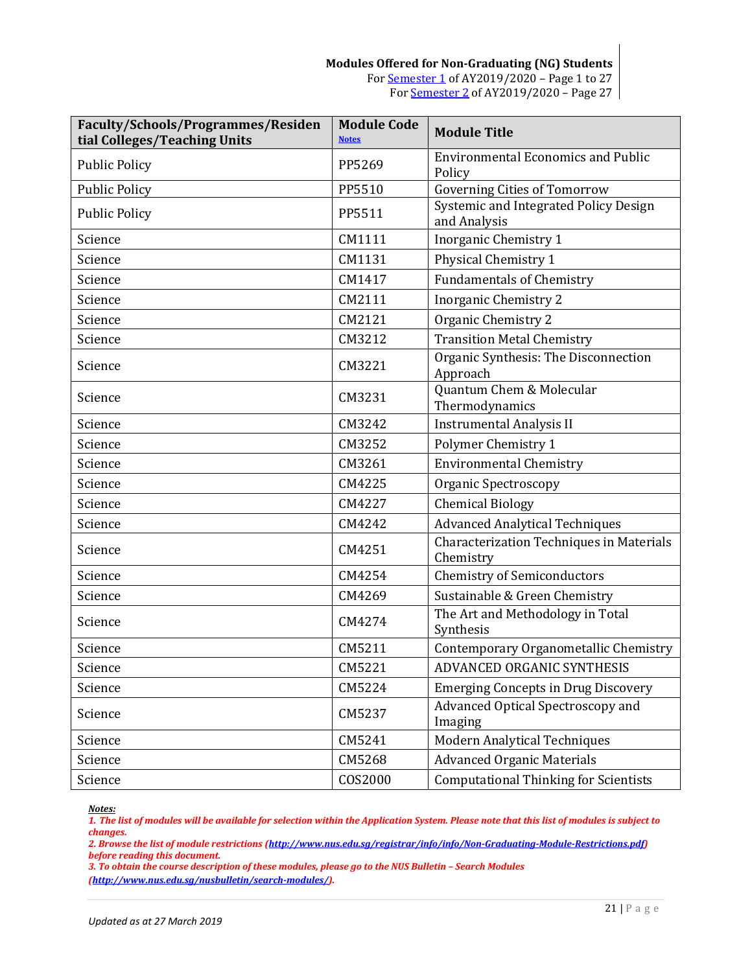| Faculty/Schools/Programmes/Residen<br>tial Colleges/Teaching Units | <b>Module Code</b><br><b>Notes</b> | <b>Module Title</b>                                   |
|--------------------------------------------------------------------|------------------------------------|-------------------------------------------------------|
| <b>Public Policy</b>                                               | PP5269                             | <b>Environmental Economics and Public</b><br>Policy   |
| <b>Public Policy</b>                                               | PP5510                             | <b>Governing Cities of Tomorrow</b>                   |
| <b>Public Policy</b>                                               | PP5511                             | Systemic and Integrated Policy Design<br>and Analysis |
| Science                                                            | CM1111                             | Inorganic Chemistry 1                                 |
| Science                                                            | CM1131                             | Physical Chemistry 1                                  |
| Science                                                            | CM1417                             | <b>Fundamentals of Chemistry</b>                      |
| Science                                                            | CM2111                             | <b>Inorganic Chemistry 2</b>                          |
| Science                                                            | CM2121                             | Organic Chemistry 2                                   |
| Science                                                            | CM3212                             | <b>Transition Metal Chemistry</b>                     |
| Science                                                            | CM3221                             | Organic Synthesis: The Disconnection<br>Approach      |
| Science                                                            | CM3231                             | Quantum Chem & Molecular<br>Thermodynamics            |
| Science                                                            | CM3242                             | <b>Instrumental Analysis II</b>                       |
| Science                                                            | CM3252                             | Polymer Chemistry 1                                   |
| Science                                                            | CM3261                             | <b>Environmental Chemistry</b>                        |
| Science                                                            | CM4225                             | <b>Organic Spectroscopy</b>                           |
| Science                                                            | CM4227                             | <b>Chemical Biology</b>                               |
| Science                                                            | CM4242                             | <b>Advanced Analytical Techniques</b>                 |
| Science                                                            | CM4251                             | Characterization Techniques in Materials<br>Chemistry |
| Science                                                            | CM4254                             | <b>Chemistry of Semiconductors</b>                    |
| Science                                                            | CM4269                             | Sustainable & Green Chemistry                         |
| Science                                                            | CM4274                             | The Art and Methodology in Total<br>Synthesis         |
| Science                                                            | CM5211                             | Contemporary Organometallic Chemistry                 |
| Science                                                            | CM5221                             | ADVANCED ORGANIC SYNTHESIS                            |
| Science                                                            | CM5224                             | <b>Emerging Concepts in Drug Discovery</b>            |
| Science                                                            | CM5237                             | Advanced Optical Spectroscopy and<br>Imaging          |
| Science                                                            | CM5241                             | Modern Analytical Techniques                          |
| Science                                                            | CM5268                             | <b>Advanced Organic Materials</b>                     |
| Science                                                            | COS2000                            | <b>Computational Thinking for Scientists</b>          |

<span id="page-20-0"></span>*1. The list of modules will be available for selection within the Application System. Please note that this list of modules is subject to changes.*

*2. Browse the list of module restrictions [\(http://www.nus.edu.sg/registrar/info/info/Non-Graduating-Module-Restrictions.pdf\)](http://www.nus.edu.sg/registrar/info/info/Non-Graduating-Module-Restrictions.pdf) before reading this document.*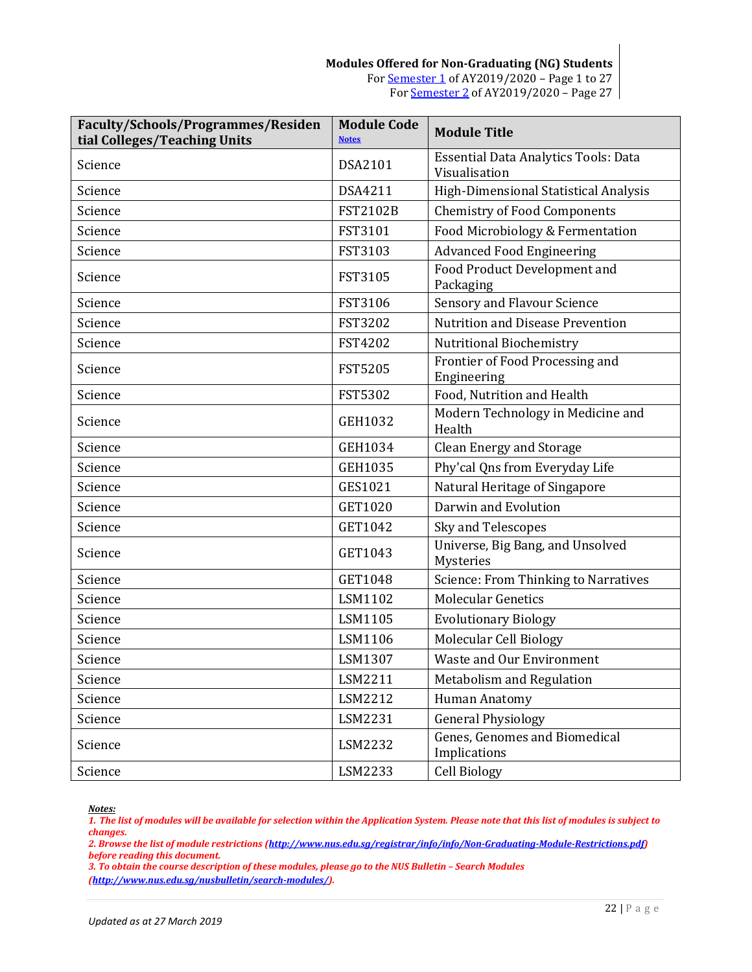| <b>Faculty/Schools/Programmes/Residen</b><br>tial Colleges/Teaching Units | <b>Module Code</b><br><b>Notes</b> | <b>Module Title</b>                                          |
|---------------------------------------------------------------------------|------------------------------------|--------------------------------------------------------------|
| Science                                                                   | <b>DSA2101</b>                     | <b>Essential Data Analytics Tools: Data</b><br>Visualisation |
| Science                                                                   | DSA4211                            | High-Dimensional Statistical Analysis                        |
| Science                                                                   | <b>FST2102B</b>                    | <b>Chemistry of Food Components</b>                          |
| Science                                                                   | FST3101                            | Food Microbiology & Fermentation                             |
| Science                                                                   | FST3103                            | <b>Advanced Food Engineering</b>                             |
| Science                                                                   | FST3105                            | Food Product Development and<br>Packaging                    |
| Science                                                                   | <b>FST3106</b>                     | <b>Sensory and Flavour Science</b>                           |
| Science                                                                   | <b>FST3202</b>                     | <b>Nutrition and Disease Prevention</b>                      |
| Science                                                                   | FST4202                            | <b>Nutritional Biochemistry</b>                              |
| Science                                                                   | <b>FST5205</b>                     | Frontier of Food Processing and<br>Engineering               |
| Science                                                                   | <b>FST5302</b>                     | Food, Nutrition and Health                                   |
| Science                                                                   | GEH1032                            | Modern Technology in Medicine and<br>Health                  |
| Science                                                                   | GEH1034                            | <b>Clean Energy and Storage</b>                              |
| Science                                                                   | <b>GEH1035</b>                     | Phy'cal Qns from Everyday Life                               |
| Science                                                                   | GES1021                            | Natural Heritage of Singapore                                |
| Science                                                                   | GET1020                            | Darwin and Evolution                                         |
| Science                                                                   | GET1042                            | Sky and Telescopes                                           |
| Science                                                                   | GET1043                            | Universe, Big Bang, and Unsolved<br>Mysteries                |
| Science                                                                   | GET1048                            | <b>Science: From Thinking to Narratives</b>                  |
| Science                                                                   | LSM1102                            | <b>Molecular Genetics</b>                                    |
| Science                                                                   | LSM1105                            | <b>Evolutionary Biology</b>                                  |
| Science                                                                   | LSM1106                            | Molecular Cell Biology                                       |
| Science                                                                   | LSM1307                            | Waste and Our Environment                                    |
| Science                                                                   | LSM2211                            | Metabolism and Regulation                                    |
| Science                                                                   | LSM2212                            | Human Anatomy                                                |
| Science                                                                   | LSM2231                            | <b>General Physiology</b>                                    |
| Science                                                                   | LSM2232                            | Genes, Genomes and Biomedical<br>Implications                |
| Science                                                                   | LSM2233                            | <b>Cell Biology</b>                                          |

<span id="page-21-0"></span>*1. The list of modules will be available for selection within the Application System. Please note that this list of modules is subject to changes.*

*2. Browse the list of module restrictions [\(http://www.nus.edu.sg/registrar/info/info/Non-Graduating-Module-Restrictions.pdf\)](http://www.nus.edu.sg/registrar/info/info/Non-Graduating-Module-Restrictions.pdf) before reading this document.*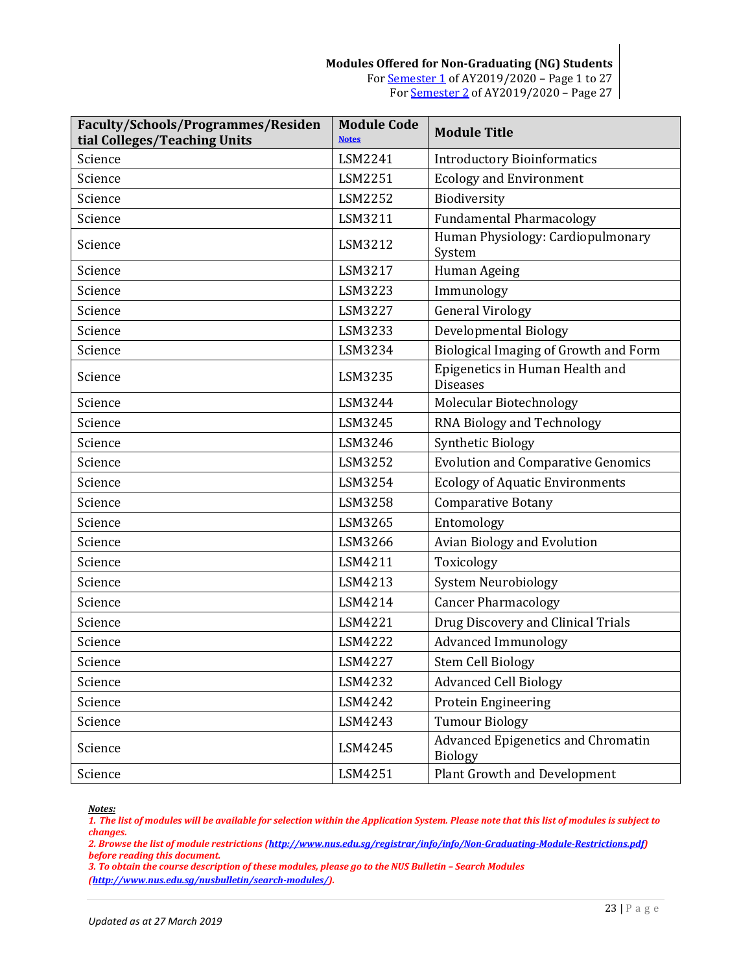| Faculty/Schools/Programmes/Residen<br>tial Colleges/Teaching Units | <b>Module Code</b><br><b>Notes</b> | <b>Module Title</b>                                         |
|--------------------------------------------------------------------|------------------------------------|-------------------------------------------------------------|
| Science                                                            | LSM2241                            | <b>Introductory Bioinformatics</b>                          |
| Science                                                            | LSM2251                            | <b>Ecology and Environment</b>                              |
| Science                                                            | LSM2252                            | Biodiversity                                                |
| Science                                                            | LSM3211                            | <b>Fundamental Pharmacology</b>                             |
| Science                                                            | LSM3212                            | Human Physiology: Cardiopulmonary<br>System                 |
| Science                                                            | LSM3217                            | Human Ageing                                                |
| Science                                                            | LSM3223                            | Immunology                                                  |
| Science                                                            | LSM3227                            | <b>General Virology</b>                                     |
| Science                                                            | LSM3233                            | Developmental Biology                                       |
| Science                                                            | LSM3234                            | Biological Imaging of Growth and Form                       |
| Science                                                            | LSM3235                            | Epigenetics in Human Health and<br><b>Diseases</b>          |
| Science                                                            | LSM3244                            | Molecular Biotechnology                                     |
| Science                                                            | LSM3245                            | RNA Biology and Technology                                  |
| Science                                                            | LSM3246                            | <b>Synthetic Biology</b>                                    |
| Science                                                            | LSM3252                            | <b>Evolution and Comparative Genomics</b>                   |
| Science                                                            | LSM3254                            | <b>Ecology of Aquatic Environments</b>                      |
| Science                                                            | LSM3258                            | <b>Comparative Botany</b>                                   |
| Science                                                            | LSM3265                            | Entomology                                                  |
| Science                                                            | LSM3266                            | Avian Biology and Evolution                                 |
| Science                                                            | LSM4211                            | Toxicology                                                  |
| Science                                                            | LSM4213                            | <b>System Neurobiology</b>                                  |
| Science                                                            | LSM4214                            | <b>Cancer Pharmacology</b>                                  |
| Science                                                            | LSM4221                            | Drug Discovery and Clinical Trials                          |
| Science                                                            | LSM4222                            | <b>Advanced Immunology</b>                                  |
| Science                                                            | LSM4227                            | <b>Stem Cell Biology</b>                                    |
| Science                                                            | LSM4232                            | <b>Advanced Cell Biology</b>                                |
| Science                                                            | LSM4242                            | Protein Engineering                                         |
| Science                                                            | LSM4243                            | <b>Tumour Biology</b>                                       |
| Science                                                            | LSM4245                            | <b>Advanced Epigenetics and Chromatin</b><br><b>Biology</b> |
| Science                                                            | LSM4251                            | <b>Plant Growth and Development</b>                         |

<span id="page-22-0"></span>*1. The list of modules will be available for selection within the Application System. Please note that this list of modules is subject to changes.*

*2. Browse the list of module restrictions [\(http://www.nus.edu.sg/registrar/info/info/Non-Graduating-Module-Restrictions.pdf\)](http://www.nus.edu.sg/registrar/info/info/Non-Graduating-Module-Restrictions.pdf) before reading this document.*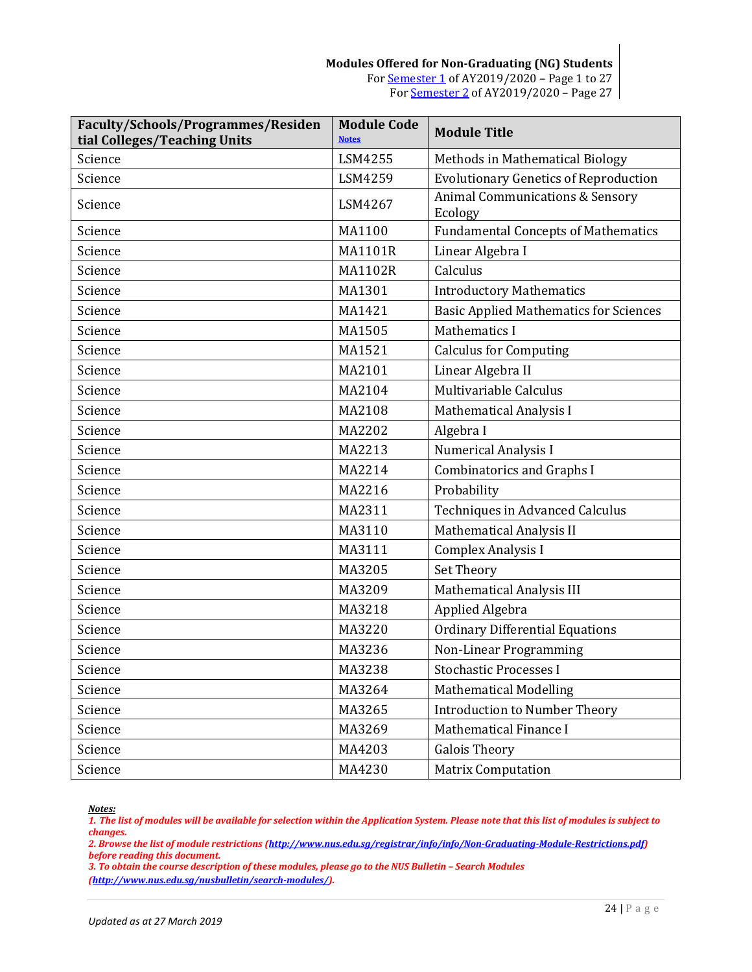| Faculty/Schools/Programmes/Residen<br>tial Colleges/Teaching Units | <b>Module Code</b><br><b>Notes</b> | <b>Module Title</b>                                   |
|--------------------------------------------------------------------|------------------------------------|-------------------------------------------------------|
| Science                                                            | LSM4255                            | Methods in Mathematical Biology                       |
| Science                                                            | LSM4259                            | <b>Evolutionary Genetics of Reproduction</b>          |
| Science                                                            | LSM4267                            | <b>Animal Communications &amp; Sensory</b><br>Ecology |
| Science                                                            | MA1100                             | <b>Fundamental Concepts of Mathematics</b>            |
| Science                                                            | <b>MA1101R</b>                     | Linear Algebra I                                      |
| Science                                                            | <b>MA1102R</b>                     | Calculus                                              |
| Science                                                            | MA1301                             | <b>Introductory Mathematics</b>                       |
| Science                                                            | MA1421                             | <b>Basic Applied Mathematics for Sciences</b>         |
| Science                                                            | MA1505                             | <b>Mathematics I</b>                                  |
| Science                                                            | MA1521                             | <b>Calculus for Computing</b>                         |
| Science                                                            | MA2101                             | Linear Algebra II                                     |
| Science                                                            | MA2104                             | Multivariable Calculus                                |
| Science                                                            | MA2108                             | <b>Mathematical Analysis I</b>                        |
| Science                                                            | MA2202                             | Algebra I                                             |
| Science                                                            | MA2213                             | <b>Numerical Analysis I</b>                           |
| Science                                                            | MA2214                             | <b>Combinatorics and Graphs I</b>                     |
| Science                                                            | MA2216                             | Probability                                           |
| Science                                                            | MA2311                             | <b>Techniques in Advanced Calculus</b>                |
| Science                                                            | MA3110                             | <b>Mathematical Analysis II</b>                       |
| Science                                                            | MA3111                             | Complex Analysis I                                    |
| Science                                                            | MA3205                             | Set Theory                                            |
| Science                                                            | MA3209                             | Mathematical Analysis III                             |
| Science                                                            | MA3218                             | Applied Algebra                                       |
| Science                                                            | MA3220                             | <b>Ordinary Differential Equations</b>                |
| Science                                                            | MA3236                             | Non-Linear Programming                                |
| Science                                                            | MA3238                             | Stochastic Processes I                                |
| Science                                                            | MA3264                             | <b>Mathematical Modelling</b>                         |
| Science                                                            | MA3265                             | <b>Introduction to Number Theory</b>                  |
| Science                                                            | MA3269                             | Mathematical Finance I                                |
| Science                                                            | MA4203                             | <b>Galois Theory</b>                                  |
| Science                                                            | MA4230                             | <b>Matrix Computation</b>                             |

<span id="page-23-0"></span>*1. The list of modules will be available for selection within the Application System. Please note that this list of modules is subject to changes.*

*2. Browse the list of module restrictions [\(http://www.nus.edu.sg/registrar/info/info/Non-Graduating-Module-Restrictions.pdf\)](http://www.nus.edu.sg/registrar/info/info/Non-Graduating-Module-Restrictions.pdf) before reading this document.*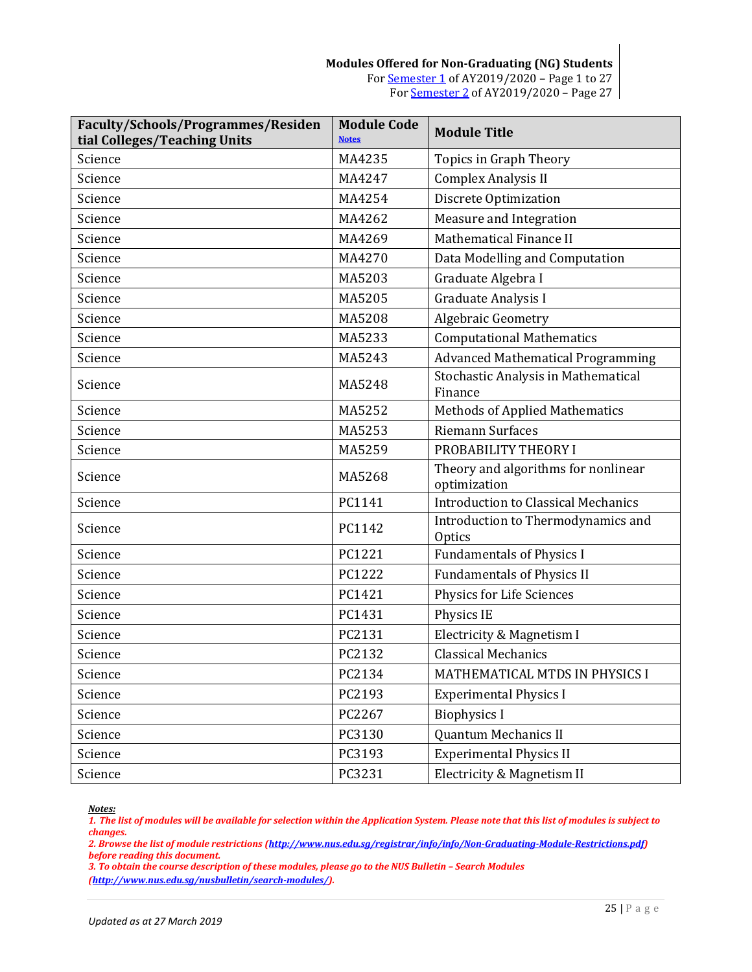| Faculty/Schools/Programmes/Residen<br>tial Colleges/Teaching Units | <b>Module Code</b><br><b>Notes</b> | <b>Module Title</b>                                 |
|--------------------------------------------------------------------|------------------------------------|-----------------------------------------------------|
| Science                                                            | MA4235                             | Topics in Graph Theory                              |
| Science                                                            | MA4247                             | Complex Analysis II                                 |
| Science                                                            | MA4254                             | Discrete Optimization                               |
| Science                                                            | MA4262                             | Measure and Integration                             |
| Science                                                            | MA4269                             | Mathematical Finance II                             |
| Science                                                            | MA4270                             | Data Modelling and Computation                      |
| Science                                                            | MA5203                             | Graduate Algebra I                                  |
| Science                                                            | MA5205                             | Graduate Analysis I                                 |
| Science                                                            | MA5208                             | Algebraic Geometry                                  |
| Science                                                            | MA5233                             | <b>Computational Mathematics</b>                    |
| Science                                                            | MA5243                             | <b>Advanced Mathematical Programming</b>            |
| Science                                                            | MA5248                             | Stochastic Analysis in Mathematical<br>Finance      |
| Science                                                            | MA5252                             | <b>Methods of Applied Mathematics</b>               |
| Science                                                            | MA5253                             | <b>Riemann Surfaces</b>                             |
| Science                                                            | MA5259                             | PROBABILITY THEORY I                                |
| Science                                                            | MA5268                             | Theory and algorithms for nonlinear<br>optimization |
| Science                                                            | PC1141                             | <b>Introduction to Classical Mechanics</b>          |
| Science                                                            | PC1142                             | Introduction to Thermodynamics and<br><b>Optics</b> |
| Science                                                            | PC1221                             | <b>Fundamentals of Physics I</b>                    |
| Science                                                            | PC1222                             | <b>Fundamentals of Physics II</b>                   |
| Science                                                            | PC1421                             | Physics for Life Sciences                           |
| Science                                                            | PC1431                             | Physics IE                                          |
| Science                                                            | PC2131                             | Electricity & Magnetism I                           |
| Science                                                            | PC2132                             | <b>Classical Mechanics</b>                          |
| Science                                                            | PC2134                             | MATHEMATICAL MTDS IN PHYSICS I                      |
| Science                                                            | PC2193                             | <b>Experimental Physics I</b>                       |
| Science                                                            | PC2267                             | <b>Biophysics I</b>                                 |
| Science                                                            | PC3130                             | Quantum Mechanics II                                |
| Science                                                            | PC3193                             | <b>Experimental Physics II</b>                      |
| Science                                                            | PC3231                             | Electricity & Magnetism II                          |

<span id="page-24-0"></span>*1. The list of modules will be available for selection within the Application System. Please note that this list of modules is subject to changes.*

*2. Browse the list of module restrictions [\(http://www.nus.edu.sg/registrar/info/info/Non-Graduating-Module-Restrictions.pdf\)](http://www.nus.edu.sg/registrar/info/info/Non-Graduating-Module-Restrictions.pdf) before reading this document.*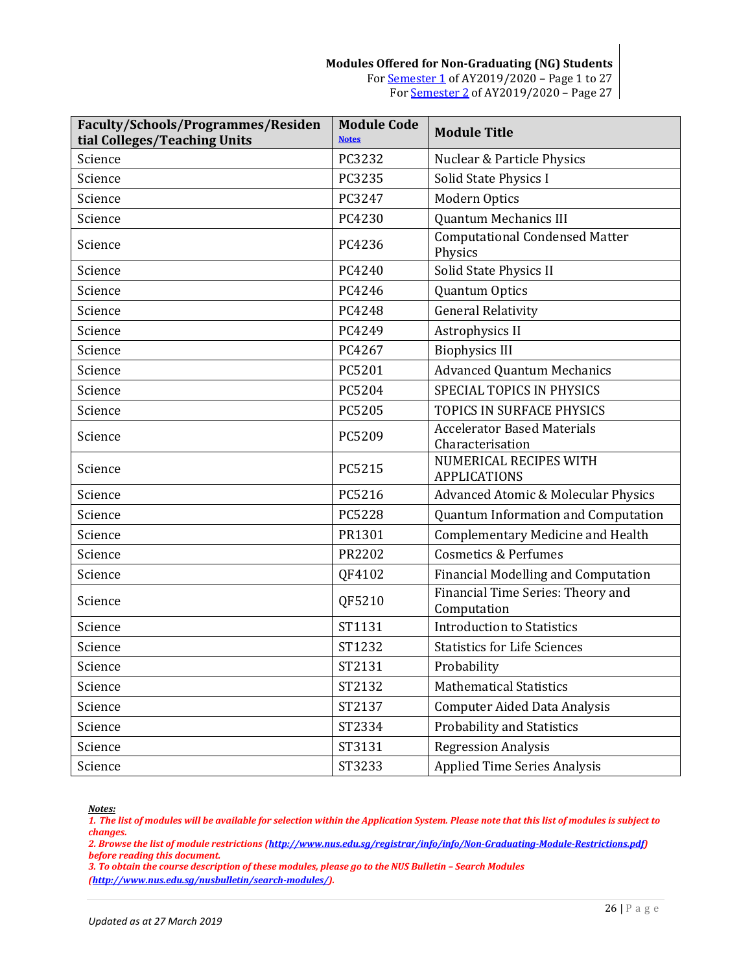| <b>Faculty/Schools/Programmes/Residen</b><br>tial Colleges/Teaching Units | <b>Module Code</b><br><b>Notes</b> | <b>Module Title</b>                                    |
|---------------------------------------------------------------------------|------------------------------------|--------------------------------------------------------|
| Science                                                                   | PC3232                             | Nuclear & Particle Physics                             |
| Science                                                                   | PC3235                             | Solid State Physics I                                  |
| Science                                                                   | PC3247                             | Modern Optics                                          |
| Science                                                                   | PC4230                             | <b>Quantum Mechanics III</b>                           |
| Science                                                                   | PC4236                             | <b>Computational Condensed Matter</b><br>Physics       |
| Science                                                                   | PC4240                             | Solid State Physics II                                 |
| Science                                                                   | PC4246                             | <b>Quantum Optics</b>                                  |
| Science                                                                   | PC4248                             | <b>General Relativity</b>                              |
| Science                                                                   | PC4249                             | Astrophysics II                                        |
| Science                                                                   | PC4267                             | <b>Biophysics III</b>                                  |
| Science                                                                   | PC5201                             | <b>Advanced Quantum Mechanics</b>                      |
| Science                                                                   | PC5204                             | <b>SPECIAL TOPICS IN PHYSICS</b>                       |
| Science                                                                   | PC5205                             | TOPICS IN SURFACE PHYSICS                              |
| Science                                                                   | PC5209                             | <b>Accelerator Based Materials</b><br>Characterisation |
| Science                                                                   | PC5215                             | NUMERICAL RECIPES WITH<br><b>APPLICATIONS</b>          |
| Science                                                                   | PC5216                             | <b>Advanced Atomic &amp; Molecular Physics</b>         |
| Science                                                                   | PC5228                             | Quantum Information and Computation                    |
| Science                                                                   | PR1301                             | <b>Complementary Medicine and Health</b>               |
| Science                                                                   | PR2202                             | <b>Cosmetics &amp; Perfumes</b>                        |
| Science                                                                   | QF4102                             | Financial Modelling and Computation                    |
| Science                                                                   | QF5210                             | Financial Time Series: Theory and<br>Computation       |
| Science                                                                   | ST1131                             | <b>Introduction to Statistics</b>                      |
| Science                                                                   | ST1232                             | <b>Statistics for Life Sciences</b>                    |
| Science                                                                   | ST2131                             | Probability                                            |
| Science                                                                   | ST2132                             | <b>Mathematical Statistics</b>                         |
| Science                                                                   | ST2137                             | <b>Computer Aided Data Analysis</b>                    |
| Science                                                                   | ST2334                             | <b>Probability and Statistics</b>                      |
| Science                                                                   | ST3131                             | <b>Regression Analysis</b>                             |
| Science                                                                   | ST3233                             | <b>Applied Time Series Analysis</b>                    |

<span id="page-25-0"></span>*1. The list of modules will be available for selection within the Application System. Please note that this list of modules is subject to changes.*

*2. Browse the list of module restrictions [\(http://www.nus.edu.sg/registrar/info/info/Non-Graduating-Module-Restrictions.pdf\)](http://www.nus.edu.sg/registrar/info/info/Non-Graduating-Module-Restrictions.pdf) before reading this document.*